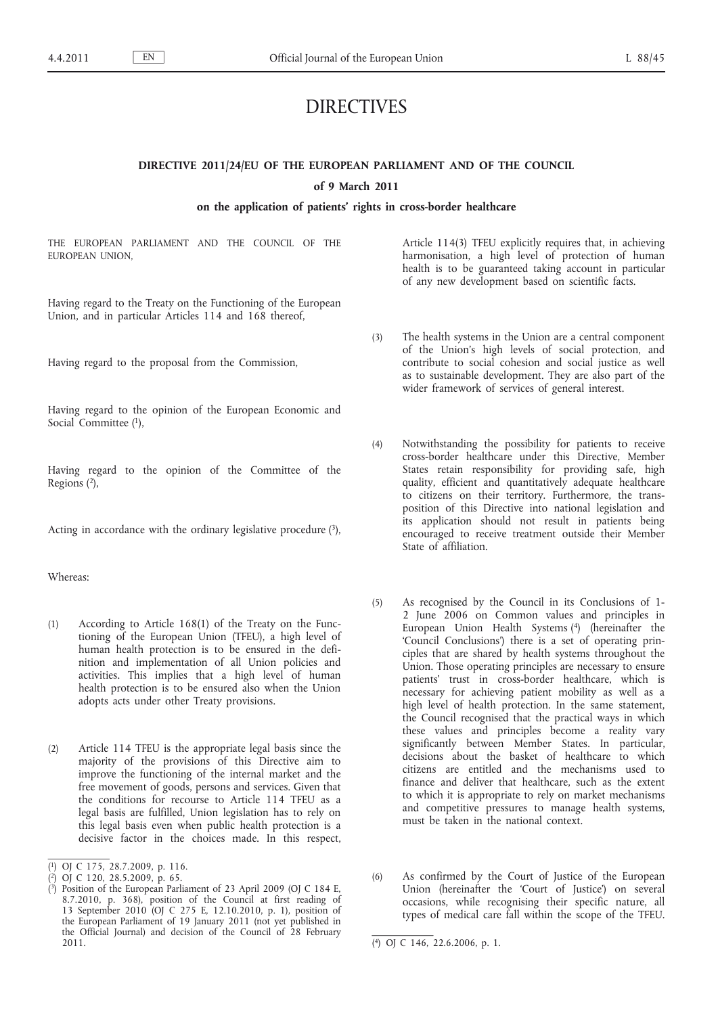# DIRECTIVES

# **DIRECTIVE 2011/24/EU OF THE EUROPEAN PARLIAMENT AND OF THE COUNCIL of 9 March 2011**

### **on the application of patients' rights in cross-border healthcare**

THE EUROPEAN PARLIAMENT AND THE COUNCIL OF THE EUROPEAN UNION,

Having regard to the Treaty on the Functioning of the European Union, and in particular Articles 114 and 168 thereof,

Having regard to the proposal from the Commission,

Having regard to the opinion of the European Economic and Social Committee (1),

Having regard to the opinion of the Committee of the Regions (2),

Acting in accordance with the ordinary legislative procedure  $(3)$ ,

# Whereas:

- (1) According to Article 168(1) of the Treaty on the Functioning of the European Union (TFEU), a high level of human health protection is to be ensured in the definition and implementation of all Union policies and activities. This implies that a high level of human health protection is to be ensured also when the Union adopts acts under other Treaty provisions.
- (2) Article 114 TFEU is the appropriate legal basis since the majority of the provisions of this Directive aim to improve the functioning of the internal market and the free movement of goods, persons and services. Given that the conditions for recourse to Article 114 TFEU as a legal basis are fulfilled, Union legislation has to rely on this legal basis even when public health protection is a decisive factor in the choices made. In this respect,

( 3) Position of the European Parliament of 23 April 2009 (OJ C 184 E, 8.7.2010, p. 368), position of the Council at first reading of 13 September 2010 (OJ C 275 E, 12.10.2010, p. 1), position of the European Parliament of 19 January 2011 (not yet published in the Official Journal) and decision of the Council of 28 February 2011. Article 114(3) TFEU explicitly requires that, in achieving harmonisation, a high level of protection of human health is to be guaranteed taking account in particular of any new development based on scientific facts.

- (3) The health systems in the Union are a central component of the Union's high levels of social protection, and contribute to social cohesion and social justice as well as to sustainable development. They are also part of the wider framework of services of general interest.
- (4) Notwithstanding the possibility for patients to receive cross-border healthcare under this Directive, Member States retain responsibility for providing safe, high quality, efficient and quantitatively adequate healthcare to citizens on their territory. Furthermore, the transposition of this Directive into national legislation and its application should not result in patients being encouraged to receive treatment outside their Member State of affiliation.
- (5) As recognised by the Council in its Conclusions of 1- 2 June 2006 on Common values and principles in European Union Health Systems (4) (hereinafter the 'Council Conclusions') there is a set of operating principles that are shared by health systems throughout the Union. Those operating principles are necessary to ensure patients' trust in cross-border healthcare, which is necessary for achieving patient mobility as well as a high level of health protection. In the same statement, the Council recognised that the practical ways in which these values and principles become a reality vary significantly between Member States. In particular, decisions about the basket of healthcare to which citizens are entitled and the mechanisms used to finance and deliver that healthcare, such as the extent to which it is appropriate to rely on market mechanisms and competitive pressures to manage health systems, must be taken in the national context.
- (6) As confirmed by the Court of Justice of the European Union (hereinafter the 'Court of Justice') on several occasions, while recognising their specific nature, all types of medical care fall within the scope of the TFEU.

<sup>(</sup> 1) OJ C 175, 28.7.2009, p. 116.

<sup>(</sup> 2) OJ C 120, 28.5.2009, p. 65.

<sup>2011. (4)</sup> OJ C 146, 22.6.2006, p. 1.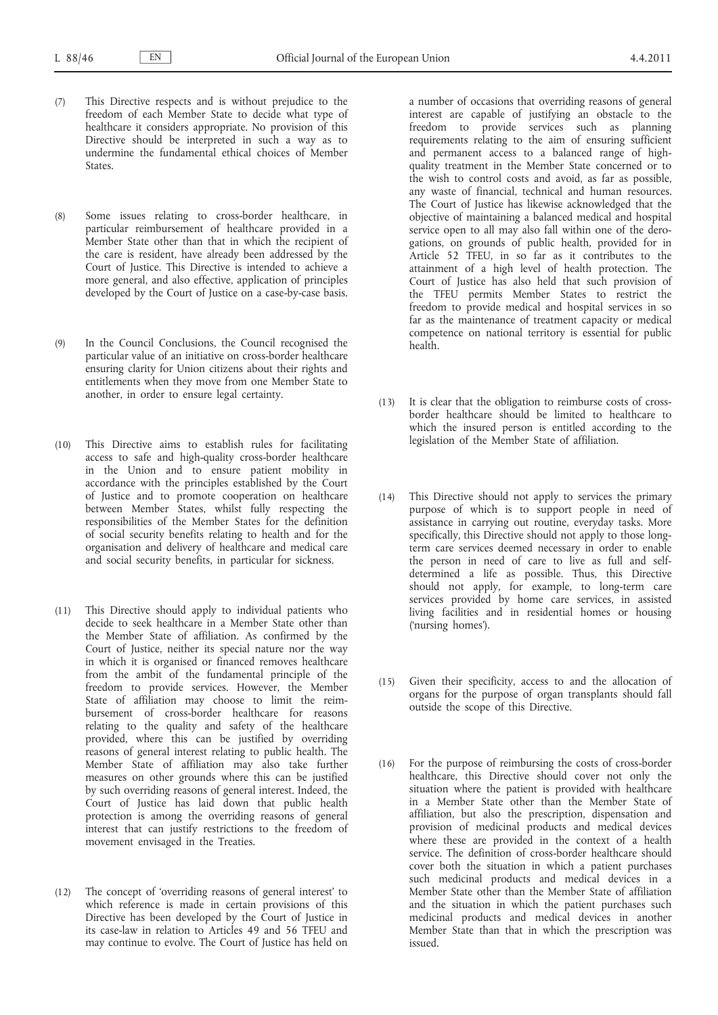- (7) This Directive respects and is without prejudice to the freedom of each Member State to decide what type of healthcare it considers appropriate. No provision of this Directive should be interpreted in such a way as to undermine the fundamental ethical choices of Member States.
- (8) Some issues relating to cross-border healthcare, in particular reimbursement of healthcare provided in a Member State other than that in which the recipient of the care is resident, have already been addressed by the Court of Justice. This Directive is intended to achieve a more general, and also effective, application of principles developed by the Court of Justice on a case-by-case basis.
- (9) In the Council Conclusions, the Council recognised the particular value of an initiative on cross-border healthcare ensuring clarity for Union citizens about their rights and entitlements when they move from one Member State to another, in order to ensure legal certainty.
- (10) This Directive aims to establish rules for facilitating access to safe and high-quality cross-border healthcare in the Union and to ensure patient mobility in accordance with the principles established by the Court of Justice and to promote cooperation on healthcare between Member States, whilst fully respecting the responsibilities of the Member States for the definition of social security benefits relating to health and for the organisation and delivery of healthcare and medical care and social security benefits, in particular for sickness.
- (11) This Directive should apply to individual patients who decide to seek healthcare in a Member State other than the Member State of affiliation. As confirmed by the Court of Justice, neither its special nature nor the way in which it is organised or financed removes healthcare from the ambit of the fundamental principle of the freedom to provide services. However, the Member State of affiliation may choose to limit the reimbursement of cross-border healthcare for reasons relating to the quality and safety of the healthcare provided, where this can be justified by overriding reasons of general interest relating to public health. The Member State of affiliation may also take further measures on other grounds where this can be justified by such overriding reasons of general interest. Indeed, the Court of Justice has laid down that public health protection is among the overriding reasons of general interest that can justify restrictions to the freedom of movement envisaged in the Treaties.
- (12) The concept of 'overriding reasons of general interest' to which reference is made in certain provisions of this Directive has been developed by the Court of Justice in its case-law in relation to Articles 49 and 56 TFEU and may continue to evolve. The Court of Justice has held on

a number of occasions that overriding reasons of general interest are capable of justifying an obstacle to the freedom to provide services such as planning requirements relating to the aim of ensuring sufficient and permanent access to a balanced range of highquality treatment in the Member State concerned or to the wish to control costs and avoid, as far as possible, any waste of financial, technical and human resources. The Court of Justice has likewise acknowledged that the objective of maintaining a balanced medical and hospital service open to all may also fall within one of the derogations, on grounds of public health, provided for in Article 52 TFEU, in so far as it contributes to the attainment of a high level of health protection. The Court of Justice has also held that such provision of the TFEU permits Member States to restrict the freedom to provide medical and hospital services in so far as the maintenance of treatment capacity or medical competence on national territory is essential for public health.

- (13) It is clear that the obligation to reimburse costs of crossborder healthcare should be limited to healthcare to which the insured person is entitled according to the legislation of the Member State of affiliation.
- (14) This Directive should not apply to services the primary purpose of which is to support people in need of assistance in carrying out routine, everyday tasks. More specifically, this Directive should not apply to those longterm care services deemed necessary in order to enable the person in need of care to live as full and selfdetermined a life as possible. Thus, this Directive should not apply, for example, to long-term care services provided by home care services, in assisted living facilities and in residential homes or housing ('nursing homes').
- (15) Given their specificity, access to and the allocation of organs for the purpose of organ transplants should fall outside the scope of this Directive.
- (16) For the purpose of reimbursing the costs of cross-border healthcare, this Directive should cover not only the situation where the patient is provided with healthcare in a Member State other than the Member State of affiliation, but also the prescription, dispensation and provision of medicinal products and medical devices where these are provided in the context of a health service. The definition of cross-border healthcare should cover both the situation in which a patient purchases such medicinal products and medical devices in a Member State other than the Member State of affiliation and the situation in which the patient purchases such medicinal products and medical devices in another Member State than that in which the prescription was issued.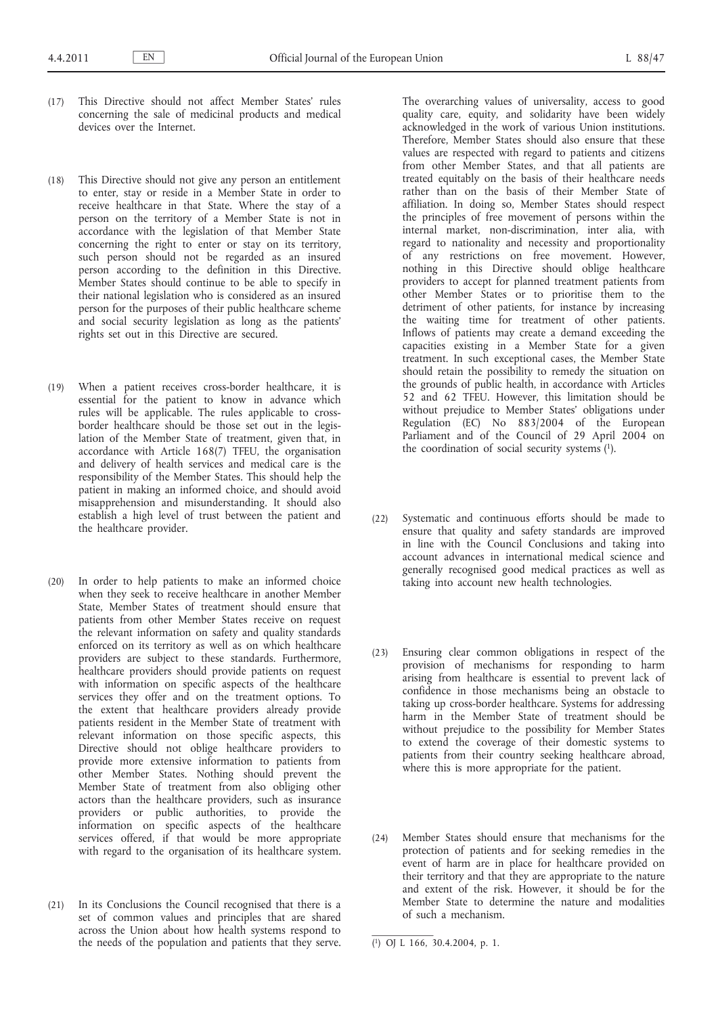- (17) This Directive should not affect Member States' rules concerning the sale of medicinal products and medical devices over the Internet.
- (18) This Directive should not give any person an entitlement to enter, stay or reside in a Member State in order to receive healthcare in that State. Where the stay of a person on the territory of a Member State is not in accordance with the legislation of that Member State concerning the right to enter or stay on its territory, such person should not be regarded as an insured person according to the definition in this Directive. Member States should continue to be able to specify in their national legislation who is considered as an insured person for the purposes of their public healthcare scheme and social security legislation as long as the patients' rights set out in this Directive are secured.
- (19) When a patient receives cross-border healthcare, it is essential for the patient to know in advance which rules will be applicable. The rules applicable to crossborder healthcare should be those set out in the legislation of the Member State of treatment, given that, in accordance with Article 168(7) TFEU, the organisation and delivery of health services and medical care is the responsibility of the Member States. This should help the patient in making an informed choice, and should avoid misapprehension and misunderstanding. It should also establish a high level of trust between the patient and the healthcare provider.
- (20) In order to help patients to make an informed choice when they seek to receive healthcare in another Member State, Member States of treatment should ensure that patients from other Member States receive on request the relevant information on safety and quality standards enforced on its territory as well as on which healthcare providers are subject to these standards. Furthermore, healthcare providers should provide patients on request with information on specific aspects of the healthcare services they offer and on the treatment options. To the extent that healthcare providers already provide patients resident in the Member State of treatment with relevant information on those specific aspects, this Directive should not oblige healthcare providers to provide more extensive information to patients from other Member States. Nothing should prevent the Member State of treatment from also obliging other actors than the healthcare providers, such as insurance providers or public authorities, to provide the information on specific aspects of the healthcare services offered, if that would be more appropriate with regard to the organisation of its healthcare system.
- (21) In its Conclusions the Council recognised that there is a set of common values and principles that are shared across the Union about how health systems respond to the needs of the population and patients that they serve.

The overarching values of universality, access to good quality care, equity, and solidarity have been widely acknowledged in the work of various Union institutions. Therefore, Member States should also ensure that these values are respected with regard to patients and citizens from other Member States, and that all patients are treated equitably on the basis of their healthcare needs rather than on the basis of their Member State of affiliation. In doing so, Member States should respect the principles of free movement of persons within the internal market, non-discrimination, inter alia, with regard to nationality and necessity and proportionality of any restrictions on free movement. However, nothing in this Directive should oblige healthcare providers to accept for planned treatment patients from other Member States or to prioritise them to the detriment of other patients, for instance by increasing the waiting time for treatment of other patients. Inflows of patients may create a demand exceeding the capacities existing in a Member State for a given treatment. In such exceptional cases, the Member State should retain the possibility to remedy the situation on the grounds of public health, in accordance with Articles 52 and 62 TFEU. However, this limitation should be without prejudice to Member States' obligations under Regulation (EC) No 883/2004 of the European Parliament and of the Council of 29 April 2004 on the coordination of social security systems  $(1)$ .

- (22) Systematic and continuous efforts should be made to ensure that quality and safety standards are improved in line with the Council Conclusions and taking into account advances in international medical science and generally recognised good medical practices as well as taking into account new health technologies.
- (23) Ensuring clear common obligations in respect of the provision of mechanisms for responding to harm arising from healthcare is essential to prevent lack of confidence in those mechanisms being an obstacle to taking up cross-border healthcare. Systems for addressing harm in the Member State of treatment should be without prejudice to the possibility for Member States to extend the coverage of their domestic systems to patients from their country seeking healthcare abroad, where this is more appropriate for the patient.
- (24) Member States should ensure that mechanisms for the protection of patients and for seeking remedies in the event of harm are in place for healthcare provided on their territory and that they are appropriate to the nature and extent of the risk. However, it should be for the Member State to determine the nature and modalities of such a mechanism.

<sup>(</sup> 1) OJ L 166, 30.4.2004, p. 1.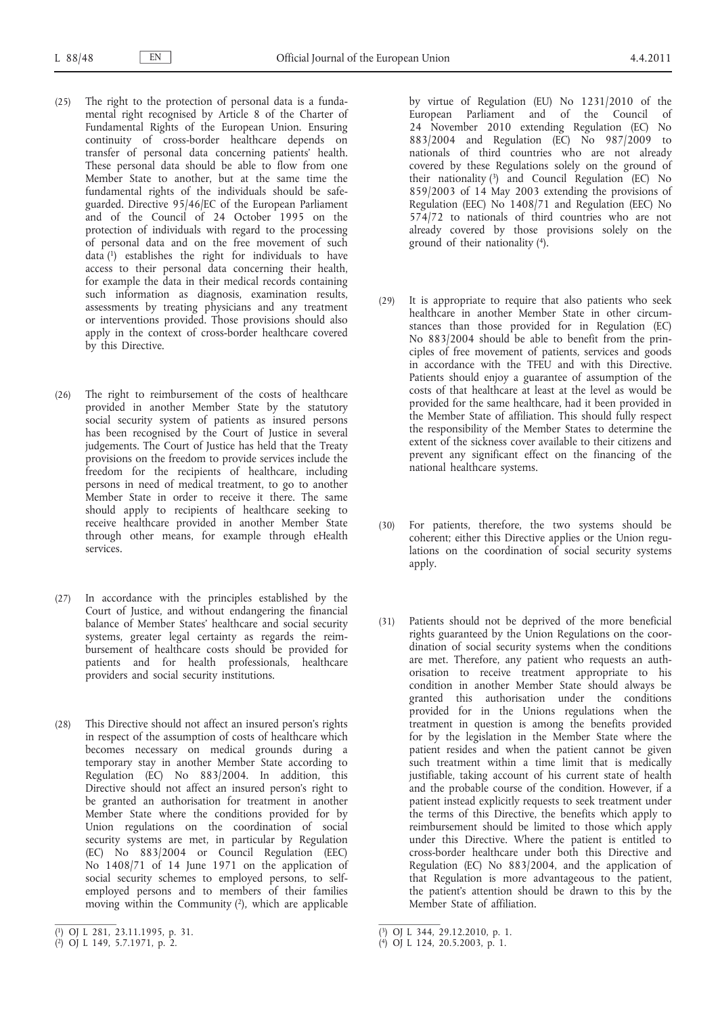- (25) The right to the protection of personal data is a fundamental right recognised by Article 8 of the Charter of Fundamental Rights of the European Union. Ensuring continuity of cross-border healthcare depends on transfer of personal data concerning patients' health. These personal data should be able to flow from one Member State to another, but at the same time the fundamental rights of the individuals should be safeguarded. Directive 95/46/EC of the European Parliament and of the Council of 24 October 1995 on the protection of individuals with regard to the processing of personal data and on the free movement of such data (1) establishes the right for individuals to have access to their personal data concerning their health, for example the data in their medical records containing such information as diagnosis, examination results, assessments by treating physicians and any treatment or interventions provided. Those provisions should also apply in the context of cross-border healthcare covered by this Directive.
- (26) The right to reimbursement of the costs of healthcare provided in another Member State by the statutory social security system of patients as insured persons has been recognised by the Court of Justice in several judgements. The Court of Justice has held that the Treaty provisions on the freedom to provide services include the freedom for the recipients of healthcare, including persons in need of medical treatment, to go to another Member State in order to receive it there. The same should apply to recipients of healthcare seeking to receive healthcare provided in another Member State through other means, for example through eHealth services.
- (27) In accordance with the principles established by the Court of Justice, and without endangering the financial balance of Member States' healthcare and social security systems, greater legal certainty as regards the reimbursement of healthcare costs should be provided for patients and for health professionals, healthcare providers and social security institutions.
- (28) This Directive should not affect an insured person's rights in respect of the assumption of costs of healthcare which becomes necessary on medical grounds during a temporary stay in another Member State according to Regulation (EC) No 883/2004. In addition, this Directive should not affect an insured person's right to be granted an authorisation for treatment in another Member State where the conditions provided for by Union regulations on the coordination of social security systems are met, in particular by Regulation (EC) No 883/2004 or Council Regulation (EEC) No 1408/71 of 14 June 1971 on the application of social security schemes to employed persons, to selfemployed persons and to members of their families moving within the Community  $(2)$ , which are applicable

by virtue of Regulation (EU) No 1231/2010 of the European Parliament and of the Council of 24 November 2010 extending Regulation (EC) No 883/2004 and Regulation (EC) No 987/2009 to nationals of third countries who are not already covered by these Regulations solely on the ground of their nationality (3) and Council Regulation (EC) No 859/2003 of 14 May 2003 extending the provisions of Regulation (EEC) No 1408/71 and Regulation (EEC) No 574/72 to nationals of third countries who are not already covered by those provisions solely on the ground of their nationality (4).

- (29) It is appropriate to require that also patients who seek healthcare in another Member State in other circumstances than those provided for in Regulation (EC) No 883/2004 should be able to benefit from the principles of free movement of patients, services and goods in accordance with the TFEU and with this Directive. Patients should enjoy a guarantee of assumption of the costs of that healthcare at least at the level as would be provided for the same healthcare, had it been provided in the Member State of affiliation. This should fully respect the responsibility of the Member States to determine the extent of the sickness cover available to their citizens and prevent any significant effect on the financing of the national healthcare systems.
- (30) For patients, therefore, the two systems should be coherent; either this Directive applies or the Union regulations on the coordination of social security systems apply.
- (31) Patients should not be deprived of the more beneficial rights guaranteed by the Union Regulations on the coordination of social security systems when the conditions are met. Therefore, any patient who requests an authorisation to receive treatment appropriate to his condition in another Member State should always be granted this authorisation under the conditions provided for in the Unions regulations when the treatment in question is among the benefits provided for by the legislation in the Member State where the patient resides and when the patient cannot be given such treatment within a time limit that is medically justifiable, taking account of his current state of health and the probable course of the condition. However, if a patient instead explicitly requests to seek treatment under the terms of this Directive, the benefits which apply to reimbursement should be limited to those which apply under this Directive. Where the patient is entitled to cross-border healthcare under both this Directive and Regulation (EC) No 883/2004, and the application of that Regulation is more advantageous to the patient, the patient's attention should be drawn to this by the Member State of affiliation.

<sup>(</sup> 1) OJ L 281, 23.11.1995, p. 31.

<sup>(</sup> 2) OJ L 149, 5.7.1971, p. 2.

<sup>(</sup> 3) OJ L 344, 29.12.2010, p. 1.

<sup>(</sup> 4) OJ L 124, 20.5.2003, p. 1.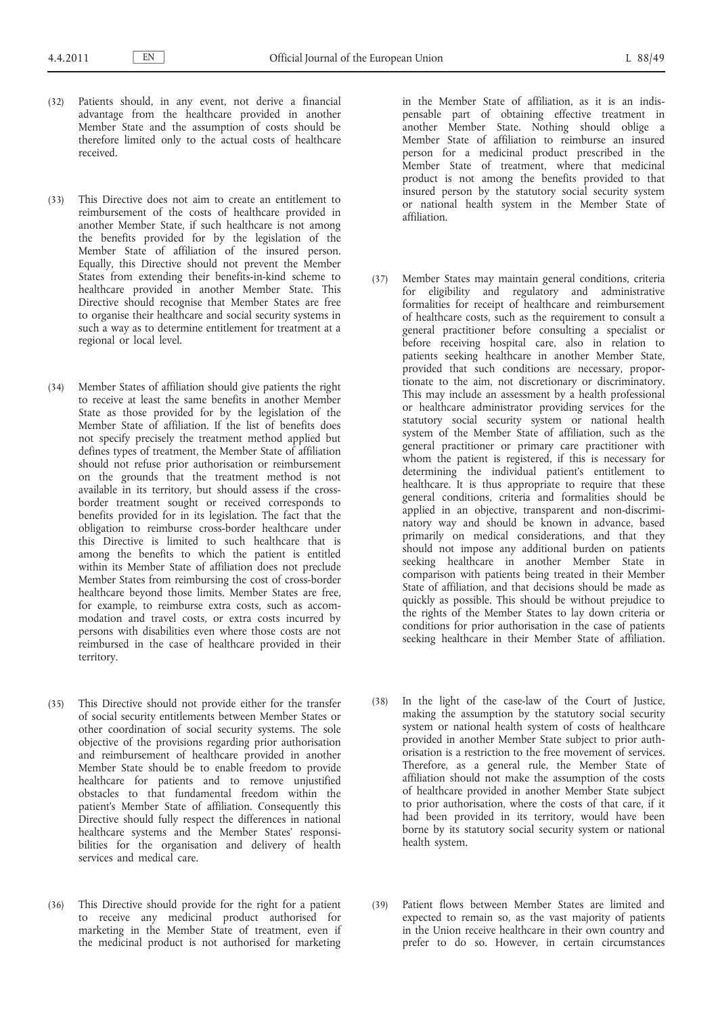- (32) Patients should, in any event, not derive a financial advantage from the healthcare provided in another Member State and the assumption of costs should be therefore limited only to the actual costs of healthcare received.
- (33) This Directive does not aim to create an entitlement to reimbursement of the costs of healthcare provided in another Member State, if such healthcare is not among the benefits provided for by the legislation of the Member State of affiliation of the insured person. Equally, this Directive should not prevent the Member States from extending their benefits-in-kind scheme to healthcare provided in another Member State. This Directive should recognise that Member States are free to organise their healthcare and social security systems in such a way as to determine entitlement for treatment at a regional or local level.
- (34) Member States of affiliation should give patients the right to receive at least the same benefits in another Member State as those provided for by the legislation of the Member State of affiliation. If the list of benefits does not specify precisely the treatment method applied but defines types of treatment, the Member State of affiliation should not refuse prior authorisation or reimbursement on the grounds that the treatment method is not available in its territory, but should assess if the crossborder treatment sought or received corresponds to benefits provided for in its legislation. The fact that the obligation to reimburse cross-border healthcare under this Directive is limited to such healthcare that is among the benefits to which the patient is entitled within its Member State of affiliation does not preclude Member States from reimbursing the cost of cross-border healthcare beyond those limits. Member States are free, for example, to reimburse extra costs, such as accommodation and travel costs, or extra costs incurred by persons with disabilities even where those costs are not reimbursed in the case of healthcare provided in their territory.
- (35) This Directive should not provide either for the transfer of social security entitlements between Member States or other coordination of social security systems. The sole objective of the provisions regarding prior authorisation and reimbursement of healthcare provided in another Member State should be to enable freedom to provide healthcare for patients and to remove unjustified obstacles to that fundamental freedom within the patient's Member State of affiliation. Consequently this Directive should fully respect the differences in national healthcare systems and the Member States' responsibilities for the organisation and delivery of health services and medical care.
- (36) This Directive should provide for the right for a patient to receive any medicinal product authorised for marketing in the Member State of treatment, even if the medicinal product is not authorised for marketing

in the Member State of affiliation, as it is an indispensable part of obtaining effective treatment in another Member State. Nothing should oblige a Member State of affiliation to reimburse an insured person for a medicinal product prescribed in the Member State of treatment, where that medicinal product is not among the benefits provided to that insured person by the statutory social security system or national health system in the Member State of affiliation.

- (37) Member States may maintain general conditions, criteria for eligibility and regulatory and administrative formalities for receipt of healthcare and reimbursement of healthcare costs, such as the requirement to consult a general practitioner before consulting a specialist or before receiving hospital care, also in relation to patients seeking healthcare in another Member State, provided that such conditions are necessary, proportionate to the aim, not discretionary or discriminatory. This may include an assessment by a health professional or healthcare administrator providing services for the statutory social security system or national health system of the Member State of affiliation, such as the general practitioner or primary care practitioner with whom the patient is registered, if this is necessary for determining the individual patient's entitlement to healthcare. It is thus appropriate to require that these general conditions, criteria and formalities should be applied in an objective, transparent and non-discriminatory way and should be known in advance, based primarily on medical considerations, and that they should not impose any additional burden on patients seeking healthcare in another Member State in comparison with patients being treated in their Member State of affiliation, and that decisions should be made as quickly as possible. This should be without prejudice to the rights of the Member States to lay down criteria or conditions for prior authorisation in the case of patients seeking healthcare in their Member State of affiliation.
- (38) In the light of the case-law of the Court of Justice, making the assumption by the statutory social security system or national health system of costs of healthcare provided in another Member State subject to prior authorisation is a restriction to the free movement of services. Therefore, as a general rule, the Member State of affiliation should not make the assumption of the costs of healthcare provided in another Member State subject to prior authorisation, where the costs of that care, if it had been provided in its territory, would have been borne by its statutory social security system or national health system.
- (39) Patient flows between Member States are limited and expected to remain so, as the vast majority of patients in the Union receive healthcare in their own country and prefer to do so. However, in certain circumstances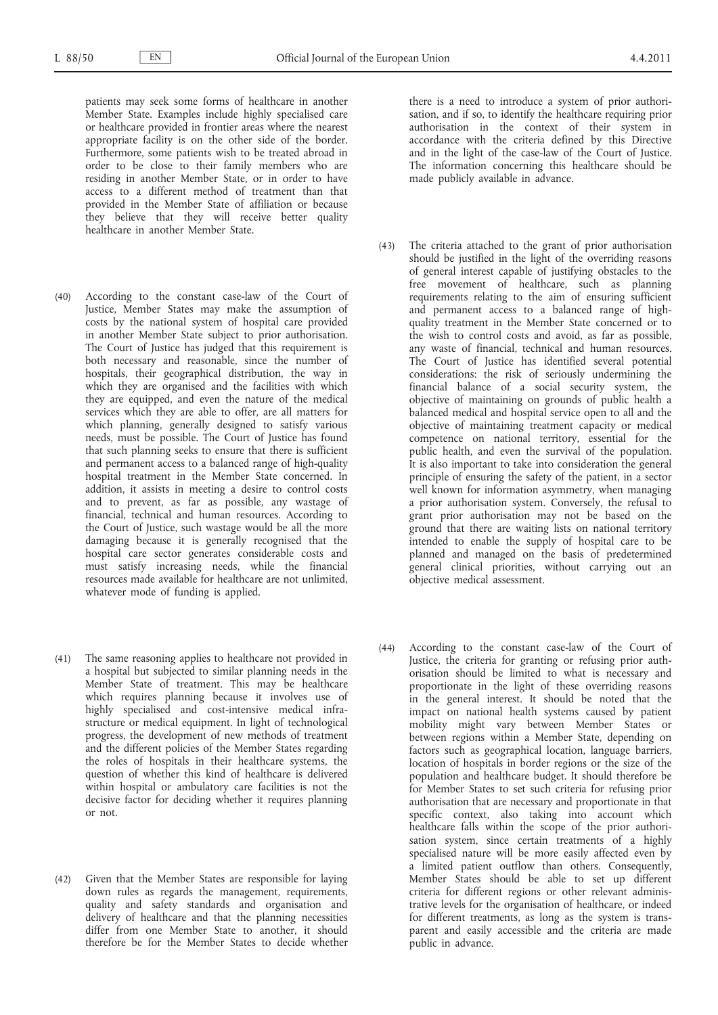patients may seek some forms of healthcare in another Member State. Examples include highly specialised care or healthcare provided in frontier areas where the nearest appropriate facility is on the other side of the border. Furthermore, some patients wish to be treated abroad in order to be close to their family members who are residing in another Member State, or in order to have access to a different method of treatment than that provided in the Member State of affiliation or because they believe that they will receive better quality healthcare in another Member State.

- (40) According to the constant case-law of the Court of Justice, Member States may make the assumption of costs by the national system of hospital care provided in another Member State subject to prior authorisation. The Court of Justice has judged that this requirement is both necessary and reasonable, since the number of hospitals, their geographical distribution, the way in which they are organised and the facilities with which they are equipped, and even the nature of the medical services which they are able to offer, are all matters for which planning, generally designed to satisfy various needs, must be possible. The Court of Justice has found that such planning seeks to ensure that there is sufficient and permanent access to a balanced range of high-quality hospital treatment in the Member State concerned. In addition, it assists in meeting a desire to control costs and to prevent, as far as possible, any wastage of financial, technical and human resources. According to the Court of Justice, such wastage would be all the more damaging because it is generally recognised that the hospital care sector generates considerable costs and must satisfy increasing needs, while the financial resources made available for healthcare are not unlimited, whatever mode of funding is applied.
- (41) The same reasoning applies to healthcare not provided in a hospital but subjected to similar planning needs in the Member State of treatment. This may be healthcare which requires planning because it involves use of highly specialised and cost-intensive medical infrastructure or medical equipment. In light of technological progress, the development of new methods of treatment and the different policies of the Member States regarding the roles of hospitals in their healthcare systems, the question of whether this kind of healthcare is delivered within hospital or ambulatory care facilities is not the decisive factor for deciding whether it requires planning or not.
- (42) Given that the Member States are responsible for laying down rules as regards the management, requirements, quality and safety standards and organisation and delivery of healthcare and that the planning necessities differ from one Member State to another, it should therefore be for the Member States to decide whether

there is a need to introduce a system of prior authorisation, and if so, to identify the healthcare requiring prior authorisation in the context of their system in accordance with the criteria defined by this Directive and in the light of the case-law of the Court of Justice. The information concerning this healthcare should be made publicly available in advance.

- (43) The criteria attached to the grant of prior authorisation should be justified in the light of the overriding reasons of general interest capable of justifying obstacles to the free movement of healthcare, such as planning requirements relating to the aim of ensuring sufficient and permanent access to a balanced range of highquality treatment in the Member State concerned or to the wish to control costs and avoid, as far as possible, any waste of financial, technical and human resources. The Court of Justice has identified several potential considerations: the risk of seriously undermining the financial balance of a social security system, the objective of maintaining on grounds of public health a balanced medical and hospital service open to all and the objective of maintaining treatment capacity or medical competence on national territory, essential for the public health, and even the survival of the population. It is also important to take into consideration the general principle of ensuring the safety of the patient, in a sector well known for information asymmetry, when managing a prior authorisation system. Conversely, the refusal to grant prior authorisation may not be based on the ground that there are waiting lists on national territory intended to enable the supply of hospital care to be planned and managed on the basis of predetermined general clinical priorities, without carrying out an objective medical assessment.
- (44) According to the constant case-law of the Court of Justice, the criteria for granting or refusing prior authorisation should be limited to what is necessary and proportionate in the light of these overriding reasons in the general interest. It should be noted that the impact on national health systems caused by patient mobility might vary between Member States or between regions within a Member State, depending on factors such as geographical location, language barriers, location of hospitals in border regions or the size of the population and healthcare budget. It should therefore be for Member States to set such criteria for refusing prior authorisation that are necessary and proportionate in that specific context, also taking into account which healthcare falls within the scope of the prior authorisation system, since certain treatments of a highly specialised nature will be more easily affected even by a limited patient outflow than others. Consequently, Member States should be able to set up different criteria for different regions or other relevant administrative levels for the organisation of healthcare, or indeed for different treatments, as long as the system is transparent and easily accessible and the criteria are made public in advance.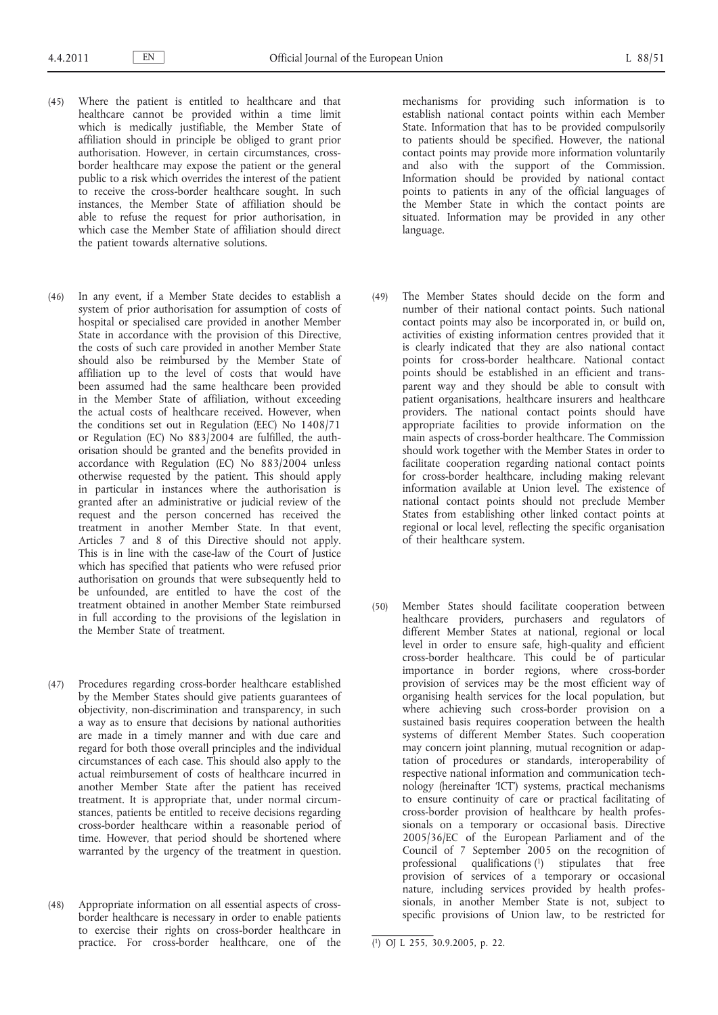- (45) Where the patient is entitled to healthcare and that healthcare cannot be provided within a time limit which is medically justifiable, the Member State of affiliation should in principle be obliged to grant prior authorisation. However, in certain circumstances, crossborder healthcare may expose the patient or the general public to a risk which overrides the interest of the patient to receive the cross-border healthcare sought. In such instances, the Member State of affiliation should be able to refuse the request for prior authorisation, in which case the Member State of affiliation should direct the patient towards alternative solutions.
- (46) In any event, if a Member State decides to establish a system of prior authorisation for assumption of costs of hospital or specialised care provided in another Member State in accordance with the provision of this Directive, the costs of such care provided in another Member State should also be reimbursed by the Member State of affiliation up to the level of costs that would have been assumed had the same healthcare been provided in the Member State of affiliation, without exceeding the actual costs of healthcare received. However, when the conditions set out in Regulation (EEC) No 1408/71 or Regulation (EC) No 883/2004 are fulfilled, the authorisation should be granted and the benefits provided in accordance with Regulation (EC) No 883/2004 unless otherwise requested by the patient. This should apply in particular in instances where the authorisation is granted after an administrative or judicial review of the request and the person concerned has received the treatment in another Member State. In that event, Articles 7 and 8 of this Directive should not apply. This is in line with the case-law of the Court of Justice which has specified that patients who were refused prior authorisation on grounds that were subsequently held to be unfounded, are entitled to have the cost of the treatment obtained in another Member State reimbursed in full according to the provisions of the legislation in the Member State of treatment.
- (47) Procedures regarding cross-border healthcare established by the Member States should give patients guarantees of objectivity, non-discrimination and transparency, in such a way as to ensure that decisions by national authorities are made in a timely manner and with due care and regard for both those overall principles and the individual circumstances of each case. This should also apply to the actual reimbursement of costs of healthcare incurred in another Member State after the patient has received treatment. It is appropriate that, under normal circumstances, patients be entitled to receive decisions regarding cross-border healthcare within a reasonable period of time. However, that period should be shortened where warranted by the urgency of the treatment in question.
- (48) Appropriate information on all essential aspects of crossborder healthcare is necessary in order to enable patients to exercise their rights on cross-border healthcare in practice. For cross-border healthcare, one of the

mechanisms for providing such information is to establish national contact points within each Member State. Information that has to be provided compulsorily to patients should be specified. However, the national contact points may provide more information voluntarily and also with the support of the Commission. Information should be provided by national contact points to patients in any of the official languages of the Member State in which the contact points are situated. Information may be provided in any other language.

- (49) The Member States should decide on the form and number of their national contact points. Such national contact points may also be incorporated in, or build on, activities of existing information centres provided that it is clearly indicated that they are also national contact points for cross-border healthcare. National contact points should be established in an efficient and transparent way and they should be able to consult with patient organisations, healthcare insurers and healthcare providers. The national contact points should have appropriate facilities to provide information on the main aspects of cross-border healthcare. The Commission should work together with the Member States in order to facilitate cooperation regarding national contact points for cross-border healthcare, including making relevant information available at Union level. The existence of national contact points should not preclude Member States from establishing other linked contact points at regional or local level, reflecting the specific organisation of their healthcare system.
- (50) Member States should facilitate cooperation between healthcare providers, purchasers and regulators of different Member States at national, regional or local level in order to ensure safe, high-quality and efficient cross-border healthcare. This could be of particular importance in border regions, where cross-border provision of services may be the most efficient way of organising health services for the local population, but where achieving such cross-border provision on a sustained basis requires cooperation between the health systems of different Member States. Such cooperation may concern joint planning, mutual recognition or adaptation of procedures or standards, interoperability of respective national information and communication technology (hereinafter 'ICT') systems, practical mechanisms to ensure continuity of care or practical facilitating of cross-border provision of healthcare by health professionals on a temporary or occasional basis. Directive 2005/36/EC of the European Parliament and of the Council of 7 September 2005 on the recognition of professional qualifications  $(1)$  stipulates that free provision of services of a temporary or occasional nature, including services provided by health professionals, in another Member State is not, subject to specific provisions of Union law, to be restricted for

<sup>(</sup> 1) OJ L 255, 30.9.2005, p. 22.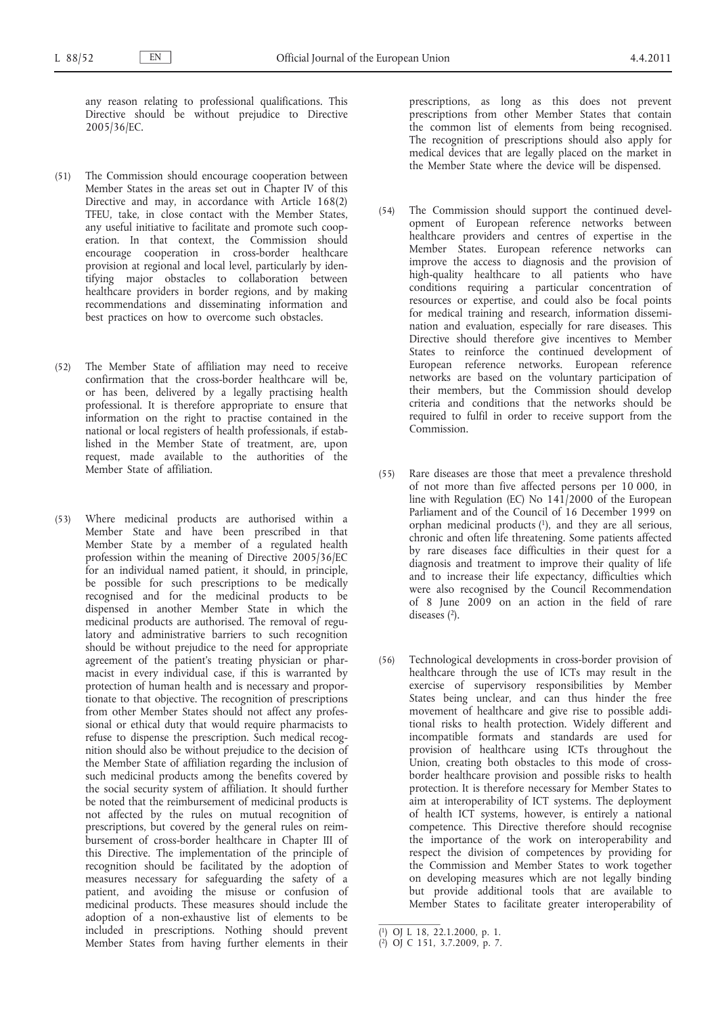any reason relating to professional qualifications. This Directive should be without prejudice to Directive 2005/36/EC.

- (51) The Commission should encourage cooperation between Member States in the areas set out in Chapter IV of this Directive and may, in accordance with Article 168(2) TFEU, take, in close contact with the Member States, any useful initiative to facilitate and promote such cooperation. In that context, the Commission should encourage cooperation in cross-border healthcare provision at regional and local level, particularly by identifying major obstacles to collaboration between healthcare providers in border regions, and by making recommendations and disseminating information and best practices on how to overcome such obstacles.
- (52) The Member State of affiliation may need to receive confirmation that the cross-border healthcare will be, or has been, delivered by a legally practising health professional. It is therefore appropriate to ensure that information on the right to practise contained in the national or local registers of health professionals, if established in the Member State of treatment, are, upon request, made available to the authorities of the Member State of affiliation.
- (53) Where medicinal products are authorised within a Member State and have been prescribed in that Member State by a member of a regulated health profession within the meaning of Directive 2005/36/EC for an individual named patient, it should, in principle, be possible for such prescriptions to be medically recognised and for the medicinal products to be dispensed in another Member State in which the medicinal products are authorised. The removal of regulatory and administrative barriers to such recognition should be without prejudice to the need for appropriate agreement of the patient's treating physician or pharmacist in every individual case, if this is warranted by protection of human health and is necessary and proportionate to that objective. The recognition of prescriptions from other Member States should not affect any professional or ethical duty that would require pharmacists to refuse to dispense the prescription. Such medical recognition should also be without prejudice to the decision of the Member State of affiliation regarding the inclusion of such medicinal products among the benefits covered by the social security system of affiliation. It should further be noted that the reimbursement of medicinal products is not affected by the rules on mutual recognition of prescriptions, but covered by the general rules on reimbursement of cross-border healthcare in Chapter III of this Directive. The implementation of the principle of recognition should be facilitated by the adoption of measures necessary for safeguarding the safety of a patient, and avoiding the misuse or confusion of medicinal products. These measures should include the adoption of a non-exhaustive list of elements to be included in prescriptions. Nothing should prevent Member States from having further elements in their

prescriptions, as long as this does not prevent prescriptions from other Member States that contain the common list of elements from being recognised. The recognition of prescriptions should also apply for medical devices that are legally placed on the market in the Member State where the device will be dispensed.

- (54) The Commission should support the continued development of European reference networks between healthcare providers and centres of expertise in the Member States. European reference networks can improve the access to diagnosis and the provision of high-quality healthcare to all patients who have conditions requiring a particular concentration of resources or expertise, and could also be focal points for medical training and research, information dissemination and evaluation, especially for rare diseases. This Directive should therefore give incentives to Member States to reinforce the continued development of European reference networks. European reference networks are based on the voluntary participation of their members, but the Commission should develop criteria and conditions that the networks should be required to fulfil in order to receive support from the Commission.
- (55) Rare diseases are those that meet a prevalence threshold of not more than five affected persons per 10 000, in line with Regulation (EC) No 141/2000 of the European Parliament and of the Council of 16 December 1999 on orphan medicinal products (1), and they are all serious, chronic and often life threatening. Some patients affected by rare diseases face difficulties in their quest for a diagnosis and treatment to improve their quality of life and to increase their life expectancy, difficulties which were also recognised by the Council Recommendation of 8 June 2009 on an action in the field of rare diseases (2).
- (56) Technological developments in cross-border provision of healthcare through the use of ICTs may result in the exercise of supervisory responsibilities by Member States being unclear, and can thus hinder the free movement of healthcare and give rise to possible additional risks to health protection. Widely different and incompatible formats and standards are used for provision of healthcare using ICTs throughout the Union, creating both obstacles to this mode of crossborder healthcare provision and possible risks to health protection. It is therefore necessary for Member States to aim at interoperability of ICT systems. The deployment of health ICT systems, however, is entirely a national competence. This Directive therefore should recognise the importance of the work on interoperability and respect the division of competences by providing for the Commission and Member States to work together on developing measures which are not legally binding but provide additional tools that are available to Member States to facilitate greater interoperability of

<sup>(</sup> 1) OJ L 18, 22.1.2000, p. 1.

<sup>(</sup> 2) OJ C 151, 3.7.2009, p. 7.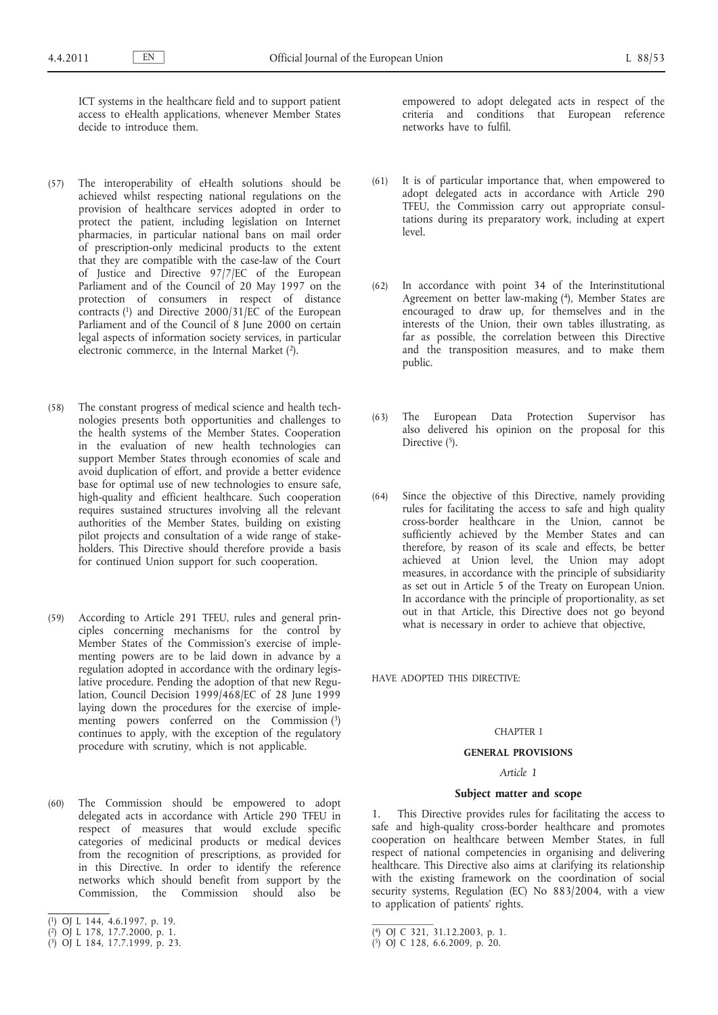ICT systems in the healthcare field and to support patient access to eHealth applications, whenever Member States decide to introduce them.

- (57) The interoperability of eHealth solutions should be achieved whilst respecting national regulations on the provision of healthcare services adopted in order to protect the patient, including legislation on Internet pharmacies, in particular national bans on mail order of prescription-only medicinal products to the extent that they are compatible with the case-law of the Court of Justice and Directive 97/7/EC of the European Parliament and of the Council of 20 May 1997 on the protection of consumers in respect of distance contracts  $(1)$  and Directive 2000/31/EC of the European Parliament and of the Council of 8 June 2000 on certain legal aspects of information society services, in particular electronic commerce, in the Internal Market (2).
- (58) The constant progress of medical science and health technologies presents both opportunities and challenges to the health systems of the Member States. Cooperation in the evaluation of new health technologies can support Member States through economies of scale and avoid duplication of effort, and provide a better evidence base for optimal use of new technologies to ensure safe, high-quality and efficient healthcare. Such cooperation requires sustained structures involving all the relevant authorities of the Member States, building on existing pilot projects and consultation of a wide range of stakeholders. This Directive should therefore provide a basis for continued Union support for such cooperation.
- (59) According to Article 291 TFEU, rules and general principles concerning mechanisms for the control by Member States of the Commission's exercise of implementing powers are to be laid down in advance by a regulation adopted in accordance with the ordinary legislative procedure. Pending the adoption of that new Regulation, Council Decision 1999/468/EC of 28 June 1999 laying down the procedures for the exercise of implementing powers conferred on the Commission (3) continues to apply, with the exception of the regulatory procedure with scrutiny, which is not applicable.
- (60) The Commission should be empowered to adopt delegated acts in accordance with Article 290 TFEU in respect of measures that would exclude specific categories of medicinal products or medical devices from the recognition of prescriptions, as provided for in this Directive. In order to identify the reference networks which should benefit from support by the Commission, the Commission should also be

empowered to adopt delegated acts in respect of the criteria and conditions that European reference networks have to fulfil.

- (61) It is of particular importance that, when empowered to adopt delegated acts in accordance with Article 290 TFEU, the Commission carry out appropriate consultations during its preparatory work, including at expert level.
- (62) In accordance with point 34 of the Interinstitutional Agreement on better law-making (4), Member States are encouraged to draw up, for themselves and in the interests of the Union, their own tables illustrating, as far as possible, the correlation between this Directive and the transposition measures, and to make them public.
- (63) The European Data Protection Supervisor has also delivered his opinion on the proposal for this Directive  $(5)$ .
- (64) Since the objective of this Directive, namely providing rules for facilitating the access to safe and high quality cross-border healthcare in the Union, cannot be sufficiently achieved by the Member States and can therefore, by reason of its scale and effects, be better achieved at Union level, the Union may adopt measures, in accordance with the principle of subsidiarity as set out in Article 5 of the Treaty on European Union. In accordance with the principle of proportionality, as set out in that Article, this Directive does not go beyond what is necessary in order to achieve that objective,

HAVE ADOPTED THIS DIRECTIVE:

# CHAPTER I

#### **GENERAL PROVISIONS**

# *Article 1*

#### **Subject matter and scope**

1. This Directive provides rules for facilitating the access to safe and high-quality cross-border healthcare and promotes cooperation on healthcare between Member States, in full respect of national competencies in organising and delivering healthcare. This Directive also aims at clarifying its relationship with the existing framework on the coordination of social security systems, Regulation (EC) No 883/2004, with a view to application of patients' rights.

<sup>(</sup> 1) OJ L 144, 4.6.1997, p. 19.

<sup>(</sup> 2) OJ L 178, 17.7.2000, p. 1.

<sup>(</sup> 3) OJ L 184, 17.7.1999, p. 23.

<sup>(</sup> 4) OJ C 321, 31.12.2003, p. 1.

<sup>(</sup> 5) OJ C 128, 6.6.2009, p. 20.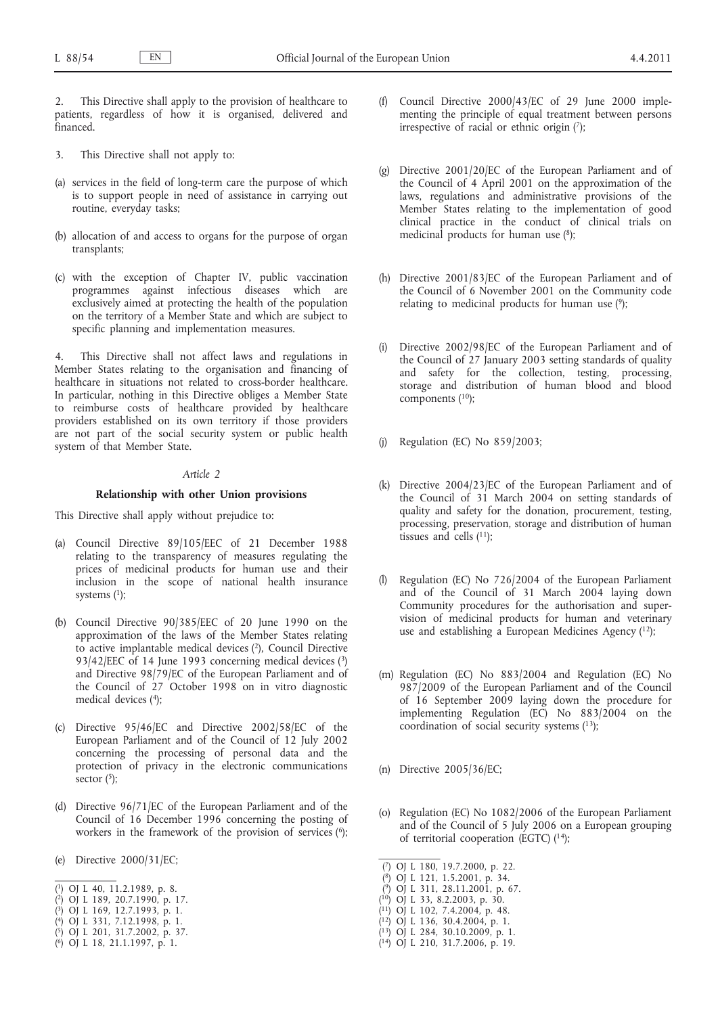2. This Directive shall apply to the provision of healthcare to patients, regardless of how it is organised, delivered and financed.

- 3. This Directive shall not apply to:
- (a) services in the field of long-term care the purpose of which is to support people in need of assistance in carrying out routine, everyday tasks;
- (b) allocation of and access to organs for the purpose of organ transplants;
- (c) with the exception of Chapter IV, public vaccination programmes against infectious diseases which are exclusively aimed at protecting the health of the population on the territory of a Member State and which are subject to specific planning and implementation measures.

4. This Directive shall not affect laws and regulations in Member States relating to the organisation and financing of healthcare in situations not related to cross-border healthcare. In particular, nothing in this Directive obliges a Member State to reimburse costs of healthcare provided by healthcare providers established on its own territory if those providers are not part of the social security system or public health system of that Member State.

# *Article 2*

#### **Relationship with other Union provisions**

This Directive shall apply without prejudice to:

- (a) Council Directive 89/105/EEC of 21 December 1988 relating to the transparency of measures regulating the prices of medicinal products for human use and their inclusion in the scope of national health insurance systems  $(1)$ ;
- (b) Council Directive 90/385/EEC of 20 June 1990 on the approximation of the laws of the Member States relating to active implantable medical devices (2), Council Directive 93/42/EEC of 14 June 1993 concerning medical devices (3) and Directive 98/79/EC of the European Parliament and of the Council of 27 October 1998 on in vitro diagnostic medical devices (4);
- (c) Directive 95/46/EC and Directive 2002/58/EC of the European Parliament and of the Council of 12 July 2002 concerning the processing of personal data and the protection of privacy in the electronic communications sector  $(5)$ ;
- (d) Directive 96/71/EC of the European Parliament and of the Council of 16 December 1996 concerning the posting of workers in the framework of the provision of services  $(6)$ ;
- (e) Directive 2000/31/EC;
- ( 1) OJ L 40, 11.2.1989, p. 8.
- ( 2) OJ L 189, 20.7.1990, p. 17.
- ( 3) OJ L 169, 12.7.1993, p. 1.
- ( 4) OJ L 331, 7.12.1998, p. 1. ( 5) OJ L 201, 31.7.2002, p. 37.
- ( 6) OJ L 18, 21.1.1997, p. 1.
- (f) Council Directive 2000/43/EC of 29 June 2000 implementing the principle of equal treatment between persons irrespective of racial or ethnic origin  $(7)$ ;
- (g) Directive 2001/20/EC of the European Parliament and of the Council of 4 April 2001 on the approximation of the laws, regulations and administrative provisions of the Member States relating to the implementation of good clinical practice in the conduct of clinical trials on medicinal products for human use (8);
- (h) Directive 2001/83/EC of the European Parliament and of the Council of 6 November 2001 on the Community code relating to medicinal products for human use (9);
- Directive 2002/98/EC of the European Parliament and of the Council of 27 January 2003 setting standards of quality and safety for the collection, testing, processing, storage and distribution of human blood and blood components (10);
- Regulation (EC) No 859/2003;
- (k) Directive 2004/23/EC of the European Parliament and of the Council of 31 March 2004 on setting standards of quality and safety for the donation, procurement, testing, processing, preservation, storage and distribution of human tissues and cells  $(11)$ ;
- (l) Regulation (EC) No 726/2004 of the European Parliament and of the Council of 31 March 2004 laying down Community procedures for the authorisation and supervision of medicinal products for human and veterinary use and establishing a European Medicines Agency (12);
- (m) Regulation (EC) No 883/2004 and Regulation (EC) No 987/2009 of the European Parliament and of the Council of 16 September 2009 laying down the procedure for implementing Regulation (EC) No 883/2004 on the coordination of social security systems  $(13)$ ;
- (n) Directive 2005/36/EC;
- (o) Regulation (EC) No 1082/2006 of the European Parliament and of the Council of 5 July 2006 on a European grouping of territorial cooperation (EGTC)  $(14)$ ;
- ( 7) OJ L 180, 19.7.2000, p. 22.
- ( 8) OJ L 121, 1.5.2001, p. 34.
- ( 9) OJ L 311, 28.11.2001, p. 67.
- ( 10) OJ L 33, 8.2.2003, p. 30.
- ( 11) OJ L 102, 7.4.2004, p. 48.
- ( 12) OJ L 136, 30.4.2004, p. 1.
- ( 13) OJ L 284, 30.10.2009, p. 1.
- ( 14) OJ L 210, 31.7.2006, p. 19.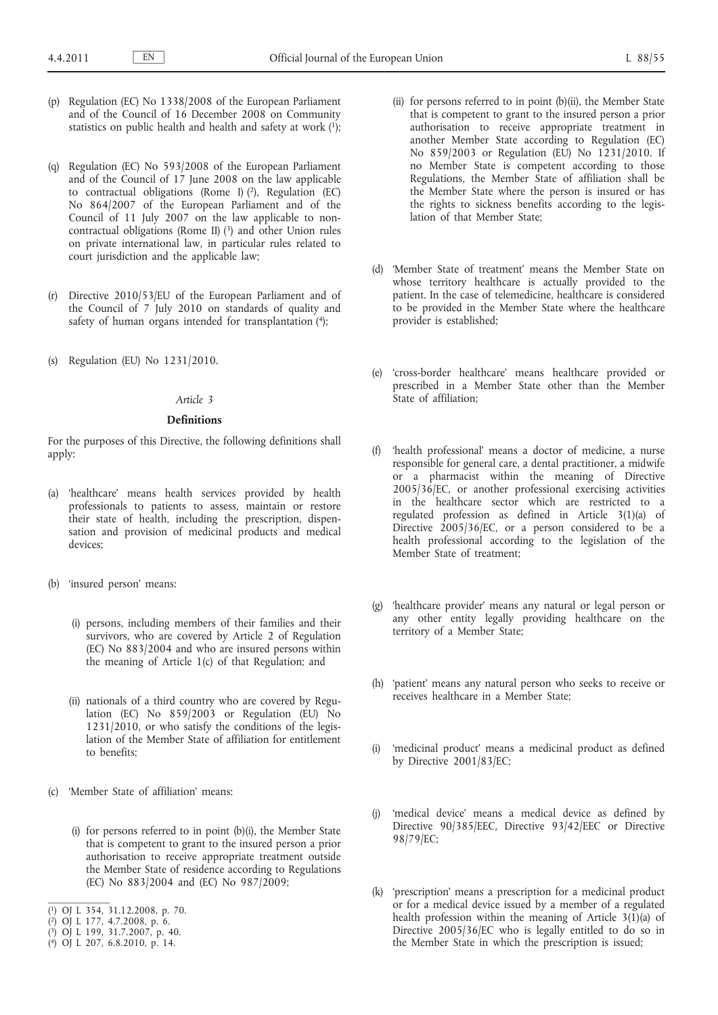- (p) Regulation (EC) No 1338/2008 of the European Parliament and of the Council of 16 December 2008 on Community statistics on public health and health and safety at work (1);
- (q) Regulation (EC) No 593/2008 of the European Parliament and of the Council of 17 June 2008 on the law applicable to contractual obligations (Rome I)  $(2)$ , Regulation (EC) No 864/2007 of the European Parliament and of the Council of 11 July 2007 on the law applicable to noncontractual obligations (Rome II)  $(3)$  and other Union rules on private international law, in particular rules related to court jurisdiction and the applicable law;
- (r) Directive 2010/53/EU of the European Parliament and of the Council of 7 July 2010 on standards of quality and safety of human organs intended for transplantation (4);
- (s) Regulation (EU) No 1231/2010.

#### *Article 3*

# **Definitions**

For the purposes of this Directive, the following definitions shall apply:

- (a) 'healthcare' means health services provided by health professionals to patients to assess, maintain or restore their state of health, including the prescription, dispensation and provision of medicinal products and medical devices;
- (b) 'insured person' means:
	- (i) persons, including members of their families and their survivors, who are covered by Article 2 of Regulation (EC) No 883/2004 and who are insured persons within the meaning of Article 1(c) of that Regulation; and
	- (ii) nationals of a third country who are covered by Regulation (EC) No 859/2003 or Regulation (EU) No 1231/2010, or who satisfy the conditions of the legislation of the Member State of affiliation for entitlement to benefits;
- (c) 'Member State of affiliation' means:
	- (i) for persons referred to in point (b)(i), the Member State that is competent to grant to the insured person a prior authorisation to receive appropriate treatment outside the Member State of residence according to Regulations (EC) No 883/2004 and (EC) No 987/2009;
- ( 1) OJ L 354, 31.12.2008, p. 70.
- ( 2) OJ L 177, 4.7.2008, p. 6.
- ( 3) OJ L 199, 31.7.2007, p. 40.
- ( 4) OJ L 207, 6.8.2010, p. 14.
- (ii) for persons referred to in point (b)(ii), the Member State that is competent to grant to the insured person a prior authorisation to receive appropriate treatment in another Member State according to Regulation (EC) No 859/2003 or Regulation (EU) No 1231/2010. If no Member State is competent according to those Regulations, the Member State of affiliation shall be the Member State where the person is insured or has the rights to sickness benefits according to the legislation of that Member State;
- (d) 'Member State of treatment' means the Member State on whose territory healthcare is actually provided to the patient. In the case of telemedicine, healthcare is considered to be provided in the Member State where the healthcare provider is established;
- (e) 'cross-border healthcare' means healthcare provided or prescribed in a Member State other than the Member State of affiliation;
- (f) 'health professional' means a doctor of medicine, a nurse responsible for general care, a dental practitioner, a midwife or a pharmacist within the meaning of Directive 2005/36/EC, or another professional exercising activities in the healthcare sector which are restricted to a regulated profession as defined in Article 3(1)(a) of Directive 2005/36/EC, or a person considered to be a health professional according to the legislation of the Member State of treatment;
- (g) 'healthcare provider' means any natural or legal person or any other entity legally providing healthcare on the territory of a Member State;
- (h) 'patient' means any natural person who seeks to receive or receives healthcare in a Member State;
- (i) 'medicinal product' means a medicinal product as defined by Directive 2001/83/EC;
- (j) 'medical device' means a medical device as defined by Directive 90/385/EEC, Directive 93/42/EEC or Directive 98/79/EC;
- (k) 'prescription' means a prescription for a medicinal product or for a medical device issued by a member of a regulated health profession within the meaning of Article 3(1)(a) of Directive 2005/36/EC who is legally entitled to do so in the Member State in which the prescription is issued;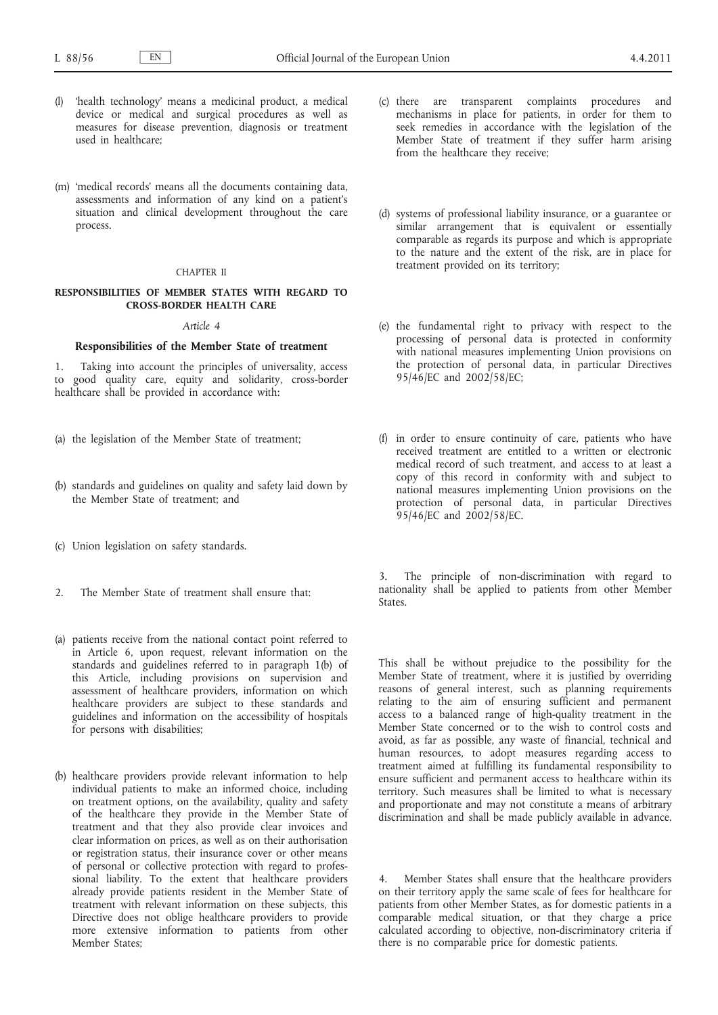- (l) 'health technology' means a medicinal product, a medical device or medical and surgical procedures as well as measures for disease prevention, diagnosis or treatment used in healthcare;
- (m) 'medical records' means all the documents containing data, assessments and information of any kind on a patient's situation and clinical development throughout the care process.

# CHAPTER II

# **RESPONSIBILITIES OF MEMBER STATES WITH REGARD TO CROSS-BORDER HEALTH CARE**

### *Article 4*

# **Responsibilities of the Member State of treatment**

1. Taking into account the principles of universality, access to good quality care, equity and solidarity, cross-border healthcare shall be provided in accordance with:

- (a) the legislation of the Member State of treatment;
- (b) standards and guidelines on quality and safety laid down by the Member State of treatment; and
- (c) Union legislation on safety standards.
- 2. The Member State of treatment shall ensure that:
- (a) patients receive from the national contact point referred to in Article 6, upon request, relevant information on the standards and guidelines referred to in paragraph 1(b) of this Article, including provisions on supervision and assessment of healthcare providers, information on which healthcare providers are subject to these standards and guidelines and information on the accessibility of hospitals for persons with disabilities;
- (b) healthcare providers provide relevant information to help individual patients to make an informed choice, including on treatment options, on the availability, quality and safety of the healthcare they provide in the Member State of treatment and that they also provide clear invoices and clear information on prices, as well as on their authorisation or registration status, their insurance cover or other means of personal or collective protection with regard to professional liability. To the extent that healthcare providers already provide patients resident in the Member State of treatment with relevant information on these subjects, this Directive does not oblige healthcare providers to provide more extensive information to patients from other Member States;
- (c) there are transparent complaints procedures and mechanisms in place for patients, in order for them to seek remedies in accordance with the legislation of the Member State of treatment if they suffer harm arising from the healthcare they receive;
- (d) systems of professional liability insurance, or a guarantee or similar arrangement that is equivalent or essentially comparable as regards its purpose and which is appropriate to the nature and the extent of the risk, are in place for treatment provided on its territory;
- (e) the fundamental right to privacy with respect to the processing of personal data is protected in conformity with national measures implementing Union provisions on the protection of personal data, in particular Directives 95/46/EC and 2002/58/EC;
- (f) in order to ensure continuity of care, patients who have received treatment are entitled to a written or electronic medical record of such treatment, and access to at least a copy of this record in conformity with and subject to national measures implementing Union provisions on the protection of personal data, in particular Directives 95/46/EC and 2002/58/EC.

3. The principle of non-discrimination with regard to nationality shall be applied to patients from other Member States.

This shall be without prejudice to the possibility for the Member State of treatment, where it is justified by overriding reasons of general interest, such as planning requirements relating to the aim of ensuring sufficient and permanent access to a balanced range of high-quality treatment in the Member State concerned or to the wish to control costs and avoid, as far as possible, any waste of financial, technical and human resources, to adopt measures regarding access to treatment aimed at fulfilling its fundamental responsibility to ensure sufficient and permanent access to healthcare within its territory. Such measures shall be limited to what is necessary and proportionate and may not constitute a means of arbitrary discrimination and shall be made publicly available in advance.

Member States shall ensure that the healthcare providers on their territory apply the same scale of fees for healthcare for patients from other Member States, as for domestic patients in a comparable medical situation, or that they charge a price calculated according to objective, non-discriminatory criteria if there is no comparable price for domestic patients.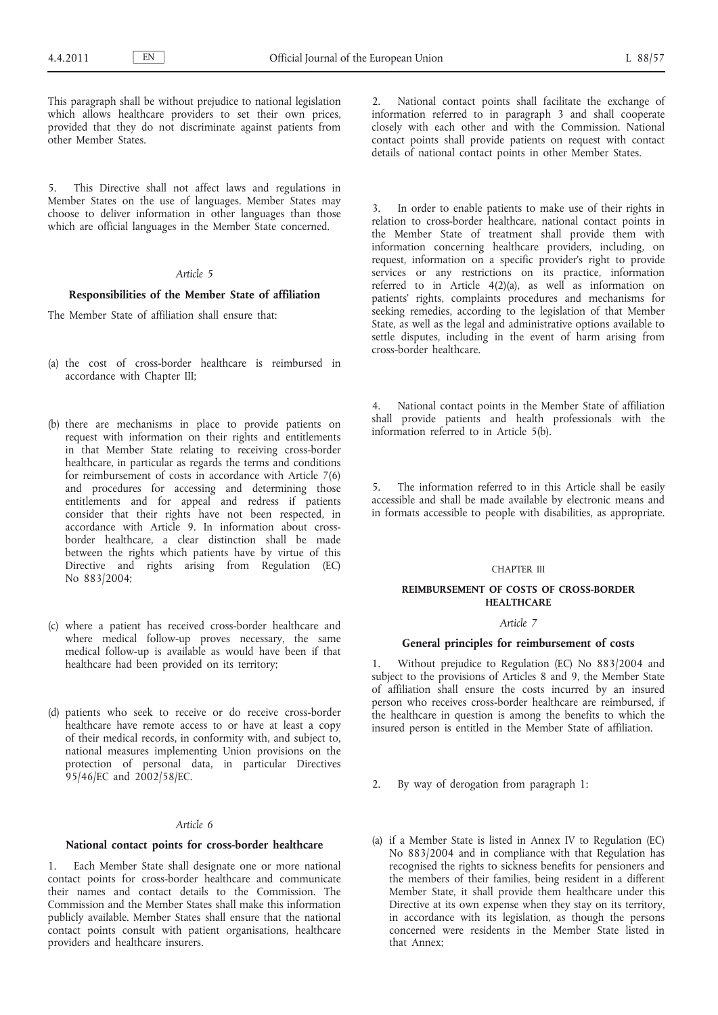This paragraph shall be without prejudice to national legislation which allows healthcare providers to set their own prices, provided that they do not discriminate against patients from other Member States.

5. This Directive shall not affect laws and regulations in Member States on the use of languages. Member States may choose to deliver information in other languages than those which are official languages in the Member State concerned.

# *Article 5*

# **Responsibilities of the Member State of affiliation**

The Member State of affiliation shall ensure that:

- (a) the cost of cross-border healthcare is reimbursed in accordance with Chapter III;
- (b) there are mechanisms in place to provide patients on request with information on their rights and entitlements in that Member State relating to receiving cross-border healthcare, in particular as regards the terms and conditions for reimbursement of costs in accordance with Article 7(6) and procedures for accessing and determining those entitlements and for appeal and redress if patients consider that their rights have not been respected, in accordance with Article 9. In information about crossborder healthcare, a clear distinction shall be made between the rights which patients have by virtue of this Directive and rights arising from Regulation (EC) No 883/2004;
- (c) where a patient has received cross-border healthcare and where medical follow-up proves necessary, the same medical follow-up is available as would have been if that healthcare had been provided on its territory;
- (d) patients who seek to receive or do receive cross-border healthcare have remote access to or have at least a copy of their medical records, in conformity with, and subject to, national measures implementing Union provisions on the protection of personal data, in particular Directives 95/46/EC and 2002/58/EC.

# *Article 6*

#### **National contact points for cross-border healthcare**

1. Each Member State shall designate one or more national contact points for cross-border healthcare and communicate their names and contact details to the Commission. The Commission and the Member States shall make this information publicly available. Member States shall ensure that the national contact points consult with patient organisations, healthcare providers and healthcare insurers.

National contact points shall facilitate the exchange of information referred to in paragraph 3 and shall cooperate closely with each other and with the Commission. National contact points shall provide patients on request with contact details of national contact points in other Member States.

In order to enable patients to make use of their rights in relation to cross-border healthcare, national contact points in the Member State of treatment shall provide them with information concerning healthcare providers, including, on request, information on a specific provider's right to provide services or any restrictions on its practice, information referred to in Article  $4(2)(a)$ , as well as information on patients' rights, complaints procedures and mechanisms for seeking remedies, according to the legislation of that Member State, as well as the legal and administrative options available to settle disputes, including in the event of harm arising from cross-border healthcare.

4. National contact points in the Member State of affiliation shall provide patients and health professionals with the information referred to in Article 5(b).

5. The information referred to in this Article shall be easily accessible and shall be made available by electronic means and in formats accessible to people with disabilities, as appropriate.

#### CHAPTER III

# **REIMBURSEMENT OF COSTS OF CROSS-BORDER HEALTHCARE**

# *Article 7*

# **General principles for reimbursement of costs**

1. Without prejudice to Regulation (EC) No 883/2004 and subject to the provisions of Articles 8 and 9, the Member State of affiliation shall ensure the costs incurred by an insured person who receives cross-border healthcare are reimbursed, if the healthcare in question is among the benefits to which the insured person is entitled in the Member State of affiliation.

- 2. By way of derogation from paragraph 1:
- (a) if a Member State is listed in Annex IV to Regulation (EC) No 883/2004 and in compliance with that Regulation has recognised the rights to sickness benefits for pensioners and the members of their families, being resident in a different Member State, it shall provide them healthcare under this Directive at its own expense when they stay on its territory, in accordance with its legislation, as though the persons concerned were residents in the Member State listed in that Annex;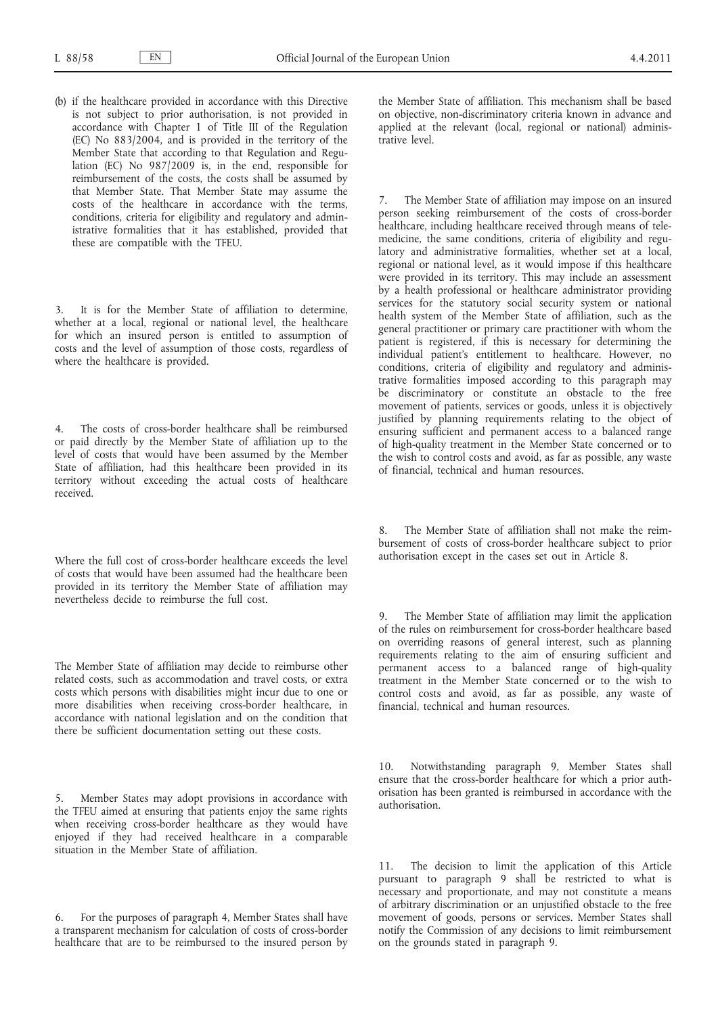(b) if the healthcare provided in accordance with this Directive is not subject to prior authorisation, is not provided in accordance with Chapter 1 of Title III of the Regulation (EC) No 883/2004, and is provided in the territory of the Member State that according to that Regulation and Regulation (EC) No 987/2009 is, in the end, responsible for reimbursement of the costs, the costs shall be assumed by that Member State. That Member State may assume the costs of the healthcare in accordance with the terms, conditions, criteria for eligibility and regulatory and administrative formalities that it has established, provided that these are compatible with the TFEU.

It is for the Member State of affiliation to determine, whether at a local, regional or national level, the healthcare for which an insured person is entitled to assumption of costs and the level of assumption of those costs, regardless of where the healthcare is provided.

The costs of cross-border healthcare shall be reimbursed or paid directly by the Member State of affiliation up to the level of costs that would have been assumed by the Member State of affiliation, had this healthcare been provided in its territory without exceeding the actual costs of healthcare received.

Where the full cost of cross-border healthcare exceeds the level of costs that would have been assumed had the healthcare been provided in its territory the Member State of affiliation may nevertheless decide to reimburse the full cost.

The Member State of affiliation may decide to reimburse other related costs, such as accommodation and travel costs, or extra costs which persons with disabilities might incur due to one or more disabilities when receiving cross-border healthcare, in accordance with national legislation and on the condition that there be sufficient documentation setting out these costs.

5. Member States may adopt provisions in accordance with the TFEU aimed at ensuring that patients enjoy the same rights when receiving cross-border healthcare as they would have enjoyed if they had received healthcare in a comparable situation in the Member State of affiliation.

6. For the purposes of paragraph 4, Member States shall have a transparent mechanism for calculation of costs of cross-border healthcare that are to be reimbursed to the insured person by

the Member State of affiliation. This mechanism shall be based on objective, non-discriminatory criteria known in advance and applied at the relevant (local, regional or national) administrative level.

7. The Member State of affiliation may impose on an insured person seeking reimbursement of the costs of cross-border healthcare, including healthcare received through means of telemedicine, the same conditions, criteria of eligibility and regulatory and administrative formalities, whether set at a local, regional or national level, as it would impose if this healthcare were provided in its territory. This may include an assessment by a health professional or healthcare administrator providing services for the statutory social security system or national health system of the Member State of affiliation, such as the general practitioner or primary care practitioner with whom the patient is registered, if this is necessary for determining the individual patient's entitlement to healthcare. However, no conditions, criteria of eligibility and regulatory and administrative formalities imposed according to this paragraph may be discriminatory or constitute an obstacle to the free movement of patients, services or goods, unless it is objectively justified by planning requirements relating to the object of ensuring sufficient and permanent access to a balanced range of high-quality treatment in the Member State concerned or to the wish to control costs and avoid, as far as possible, any waste of financial, technical and human resources.

8. The Member State of affiliation shall not make the reimbursement of costs of cross-border healthcare subject to prior authorisation except in the cases set out in Article 8.

9. The Member State of affiliation may limit the application of the rules on reimbursement for cross-border healthcare based on overriding reasons of general interest, such as planning requirements relating to the aim of ensuring sufficient and permanent access to a balanced range of high-quality treatment in the Member State concerned or to the wish to control costs and avoid, as far as possible, any waste of financial, technical and human resources.

10. Notwithstanding paragraph 9, Member States shall ensure that the cross-border healthcare for which a prior authorisation has been granted is reimbursed in accordance with the authorisation.

11. The decision to limit the application of this Article pursuant to paragraph 9 shall be restricted to what is necessary and proportionate, and may not constitute a means of arbitrary discrimination or an unjustified obstacle to the free movement of goods, persons or services. Member States shall notify the Commission of any decisions to limit reimbursement on the grounds stated in paragraph 9.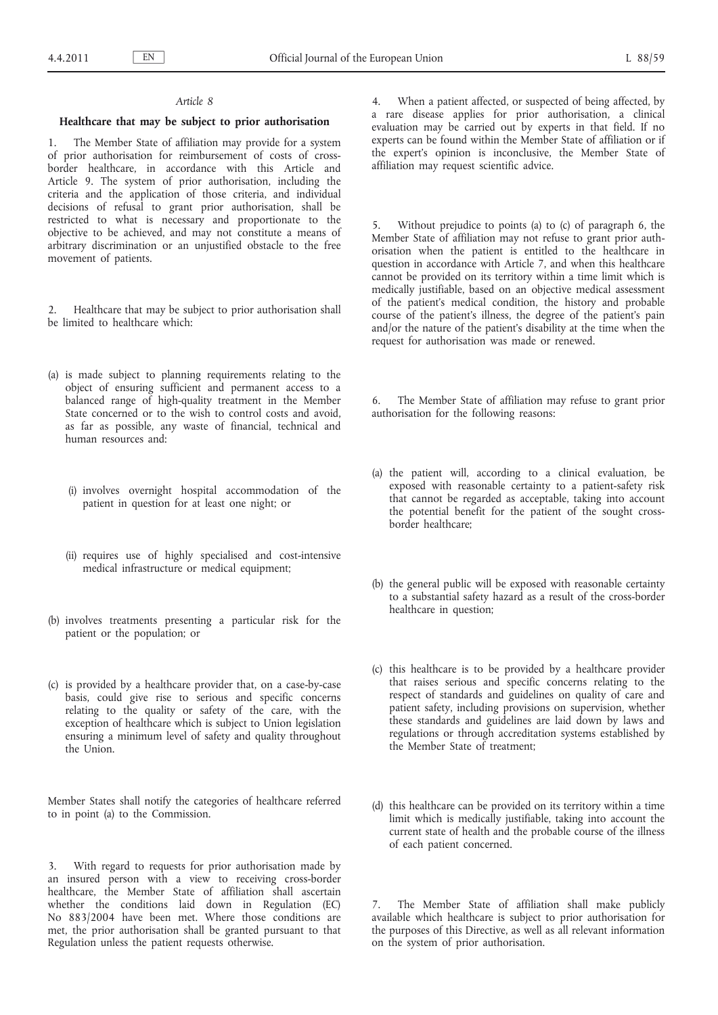#### *Article 8*

#### **Healthcare that may be subject to prior authorisation**

1. The Member State of affiliation may provide for a system of prior authorisation for reimbursement of costs of crossborder healthcare, in accordance with this Article and Article 9. The system of prior authorisation, including the criteria and the application of those criteria, and individual decisions of refusal to grant prior authorisation, shall be restricted to what is necessary and proportionate to the objective to be achieved, and may not constitute a means of arbitrary discrimination or an unjustified obstacle to the free movement of patients.

Healthcare that may be subject to prior authorisation shall be limited to healthcare which:

- (a) is made subject to planning requirements relating to the object of ensuring sufficient and permanent access to a balanced range of high-quality treatment in the Member State concerned or to the wish to control costs and avoid, as far as possible, any waste of financial, technical and human resources and:
	- (i) involves overnight hospital accommodation of the patient in question for at least one night; or
	- (ii) requires use of highly specialised and cost-intensive medical infrastructure or medical equipment;
- (b) involves treatments presenting a particular risk for the patient or the population; or
- (c) is provided by a healthcare provider that, on a case-by-case basis, could give rise to serious and specific concerns relating to the quality or safety of the care, with the exception of healthcare which is subject to Union legislation ensuring a minimum level of safety and quality throughout the Union.

Member States shall notify the categories of healthcare referred to in point (a) to the Commission.

3. With regard to requests for prior authorisation made by an insured person with a view to receiving cross-border healthcare, the Member State of affiliation shall ascertain whether the conditions laid down in Regulation (EC) No 883/2004 have been met. Where those conditions are met, the prior authorisation shall be granted pursuant to that Regulation unless the patient requests otherwise.

4. When a patient affected, or suspected of being affected, by a rare disease applies for prior authorisation, a clinical evaluation may be carried out by experts in that field. If no experts can be found within the Member State of affiliation or if the expert's opinion is inconclusive, the Member State of affiliation may request scientific advice.

5. Without prejudice to points (a) to (c) of paragraph 6, the Member State of affiliation may not refuse to grant prior authorisation when the patient is entitled to the healthcare in question in accordance with Article 7, and when this healthcare cannot be provided on its territory within a time limit which is medically justifiable, based on an objective medical assessment of the patient's medical condition, the history and probable course of the patient's illness, the degree of the patient's pain and/or the nature of the patient's disability at the time when the request for authorisation was made or renewed.

6. The Member State of affiliation may refuse to grant prior authorisation for the following reasons:

- (a) the patient will, according to a clinical evaluation, be exposed with reasonable certainty to a patient-safety risk that cannot be regarded as acceptable, taking into account the potential benefit for the patient of the sought crossborder healthcare;
- (b) the general public will be exposed with reasonable certainty to a substantial safety hazard as a result of the cross-border healthcare in question;
- (c) this healthcare is to be provided by a healthcare provider that raises serious and specific concerns relating to the respect of standards and guidelines on quality of care and patient safety, including provisions on supervision, whether these standards and guidelines are laid down by laws and regulations or through accreditation systems established by the Member State of treatment;
- (d) this healthcare can be provided on its territory within a time limit which is medically justifiable, taking into account the current state of health and the probable course of the illness of each patient concerned.

7. The Member State of affiliation shall make publicly available which healthcare is subject to prior authorisation for the purposes of this Directive, as well as all relevant information on the system of prior authorisation.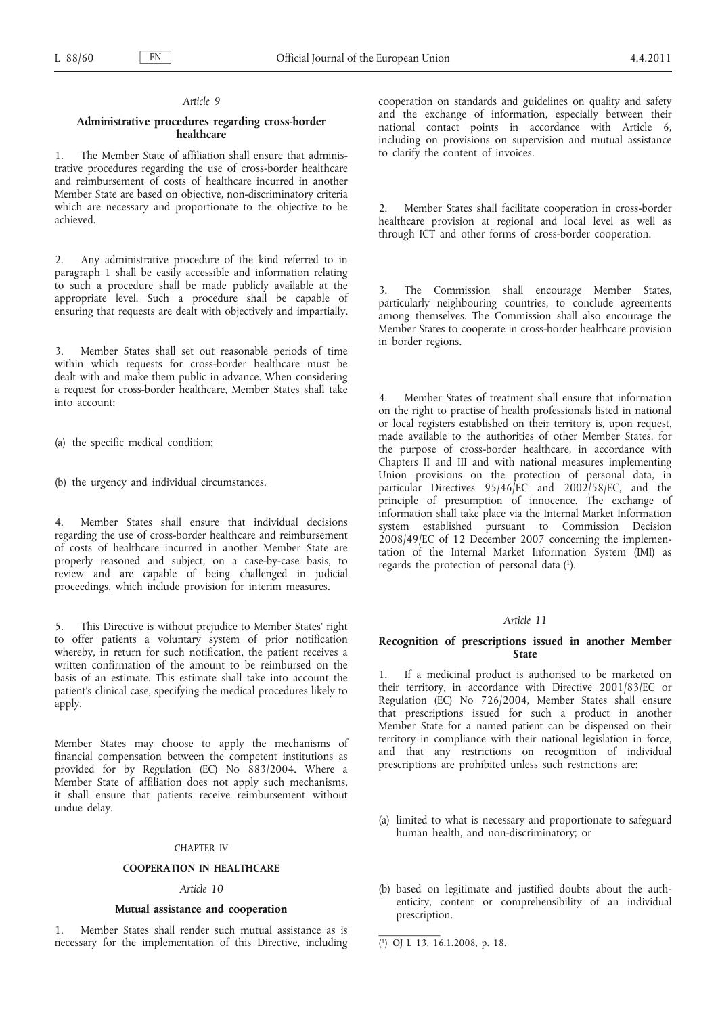#### *Article 9*

# **Administrative procedures regarding cross-border healthcare**

1. The Member State of affiliation shall ensure that administrative procedures regarding the use of cross-border healthcare and reimbursement of costs of healthcare incurred in another Member State are based on objective, non-discriminatory criteria which are necessary and proportionate to the objective to be achieved.

2. Any administrative procedure of the kind referred to in paragraph 1 shall be easily accessible and information relating to such a procedure shall be made publicly available at the appropriate level. Such a procedure shall be capable of ensuring that requests are dealt with objectively and impartially.

3. Member States shall set out reasonable periods of time within which requests for cross-border healthcare must be dealt with and make them public in advance. When considering a request for cross-border healthcare, Member States shall take into account:

(a) the specific medical condition;

(b) the urgency and individual circumstances.

4. Member States shall ensure that individual decisions regarding the use of cross-border healthcare and reimbursement of costs of healthcare incurred in another Member State are properly reasoned and subject, on a case-by-case basis, to review and are capable of being challenged in judicial proceedings, which include provision for interim measures.

5. This Directive is without prejudice to Member States' right to offer patients a voluntary system of prior notification whereby, in return for such notification, the patient receives a written confirmation of the amount to be reimbursed on the basis of an estimate. This estimate shall take into account the patient's clinical case, specifying the medical procedures likely to apply.

Member States may choose to apply the mechanisms of financial compensation between the competent institutions as provided for by Regulation (EC) No 883/2004. Where a Member State of affiliation does not apply such mechanisms, it shall ensure that patients receive reimbursement without undue delay.

#### CHAPTER IV

#### **COOPERATION IN HEALTHCARE**

# *Article 10*

# **Mutual assistance and cooperation**

Member States shall render such mutual assistance as is necessary for the implementation of this Directive, including cooperation on standards and guidelines on quality and safety and the exchange of information, especially between their national contact points in accordance with Article 6, including on provisions on supervision and mutual assistance to clarify the content of invoices.

2. Member States shall facilitate cooperation in cross-border healthcare provision at regional and local level as well as through ICT and other forms of cross-border cooperation.

The Commission shall encourage Member States, particularly neighbouring countries, to conclude agreements among themselves. The Commission shall also encourage the Member States to cooperate in cross-border healthcare provision in border regions.

4. Member States of treatment shall ensure that information on the right to practise of health professionals listed in national or local registers established on their territory is, upon request, made available to the authorities of other Member States, for the purpose of cross-border healthcare, in accordance with Chapters II and III and with national measures implementing Union provisions on the protection of personal data, in particular Directives 95/46/EC and 2002/58/EC, and the principle of presumption of innocence. The exchange of information shall take place via the Internal Market Information system established pursuant to Commission Decision 2008/49/EC of 12 December 2007 concerning the implementation of the Internal Market Information System (IMI) as regards the protection of personal data  $(1)$ .

#### *Article 11*

### **Recognition of prescriptions issued in another Member State**

1. If a medicinal product is authorised to be marketed on their territory, in accordance with Directive 2001/83/EC or Regulation (EC) No 726/2004, Member States shall ensure that prescriptions issued for such a product in another Member State for a named patient can be dispensed on their territory in compliance with their national legislation in force, and that any restrictions on recognition of individual prescriptions are prohibited unless such restrictions are:

- (a) limited to what is necessary and proportionate to safeguard human health, and non-discriminatory; or
- (b) based on legitimate and justified doubts about the authenticity, content or comprehensibility of an individual prescription.

<sup>(</sup> 1) OJ L 13, 16.1.2008, p. 18.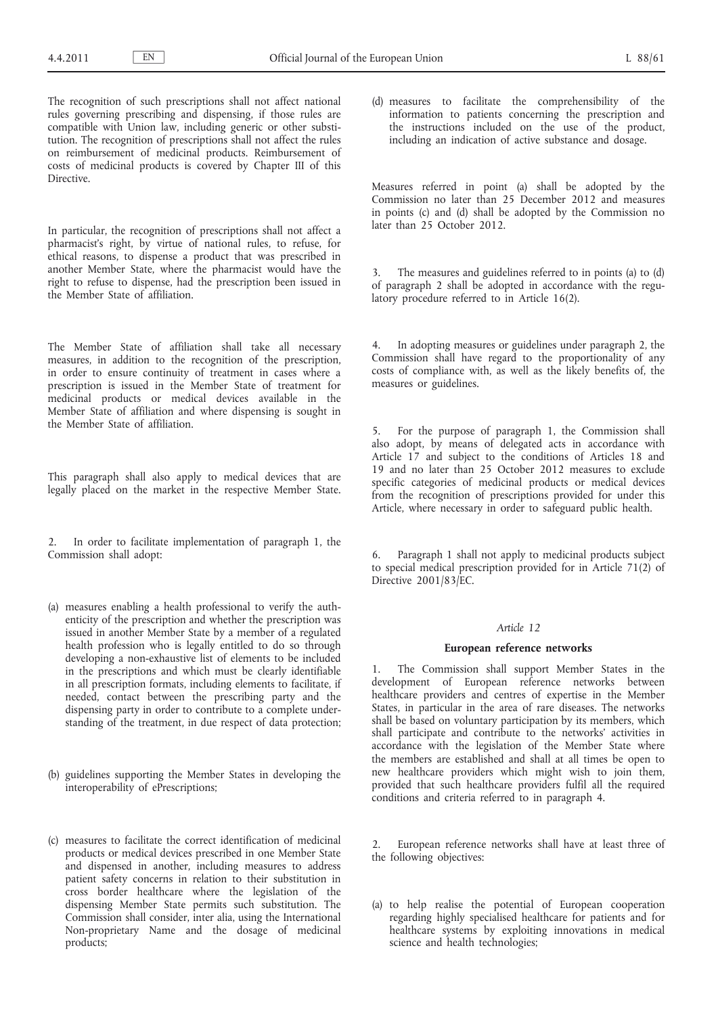The recognition of such prescriptions shall not affect national rules governing prescribing and dispensing, if those rules are compatible with Union law, including generic or other substitution. The recognition of prescriptions shall not affect the rules on reimbursement of medicinal products. Reimbursement of costs of medicinal products is covered by Chapter III of this Directive.

In particular, the recognition of prescriptions shall not affect a pharmacist's right, by virtue of national rules, to refuse, for ethical reasons, to dispense a product that was prescribed in another Member State, where the pharmacist would have the right to refuse to dispense, had the prescription been issued in the Member State of affiliation.

The Member State of affiliation shall take all necessary measures, in addition to the recognition of the prescription, in order to ensure continuity of treatment in cases where a prescription is issued in the Member State of treatment for medicinal products or medical devices available in the Member State of affiliation and where dispensing is sought in the Member State of affiliation.

This paragraph shall also apply to medical devices that are legally placed on the market in the respective Member State.

2. In order to facilitate implementation of paragraph 1, the Commission shall adopt:

- (a) measures enabling a health professional to verify the authenticity of the prescription and whether the prescription was issued in another Member State by a member of a regulated health profession who is legally entitled to do so through developing a non-exhaustive list of elements to be included in the prescriptions and which must be clearly identifiable in all prescription formats, including elements to facilitate, if needed, contact between the prescribing party and the dispensing party in order to contribute to a complete understanding of the treatment, in due respect of data protection;
- (b) guidelines supporting the Member States in developing the interoperability of ePrescriptions;
- (c) measures to facilitate the correct identification of medicinal products or medical devices prescribed in one Member State and dispensed in another, including measures to address patient safety concerns in relation to their substitution in cross border healthcare where the legislation of the dispensing Member State permits such substitution. The Commission shall consider, inter alia, using the International Non-proprietary Name and the dosage of medicinal products;

(d) measures to facilitate the comprehensibility of the information to patients concerning the prescription and the instructions included on the use of the product, including an indication of active substance and dosage.

Measures referred in point (a) shall be adopted by the Commission no later than 25 December 2012 and measures in points (c) and (d) shall be adopted by the Commission no later than 25 October 2012.

3. The measures and guidelines referred to in points (a) to (d) of paragraph 2 shall be adopted in accordance with the regulatory procedure referred to in Article 16(2).

4. In adopting measures or guidelines under paragraph 2, the Commission shall have regard to the proportionality of any costs of compliance with, as well as the likely benefits of, the measures or guidelines.

5. For the purpose of paragraph 1, the Commission shall also adopt, by means of delegated acts in accordance with Article 17 and subject to the conditions of Articles 18 and 19 and no later than 25 October 2012 measures to exclude specific categories of medicinal products or medical devices from the recognition of prescriptions provided for under this Article, where necessary in order to safeguard public health.

6. Paragraph 1 shall not apply to medicinal products subject to special medical prescription provided for in Article 71(2) of Directive 2001/83/EC.

# *Article 12*

#### **European reference networks**

The Commission shall support Member States in the development of European reference networks between healthcare providers and centres of expertise in the Member States, in particular in the area of rare diseases. The networks shall be based on voluntary participation by its members, which shall participate and contribute to the networks' activities in accordance with the legislation of the Member State where the members are established and shall at all times be open to new healthcare providers which might wish to join them, provided that such healthcare providers fulfil all the required conditions and criteria referred to in paragraph 4.

2. European reference networks shall have at least three of the following objectives:

(a) to help realise the potential of European cooperation regarding highly specialised healthcare for patients and for healthcare systems by exploiting innovations in medical science and health technologies;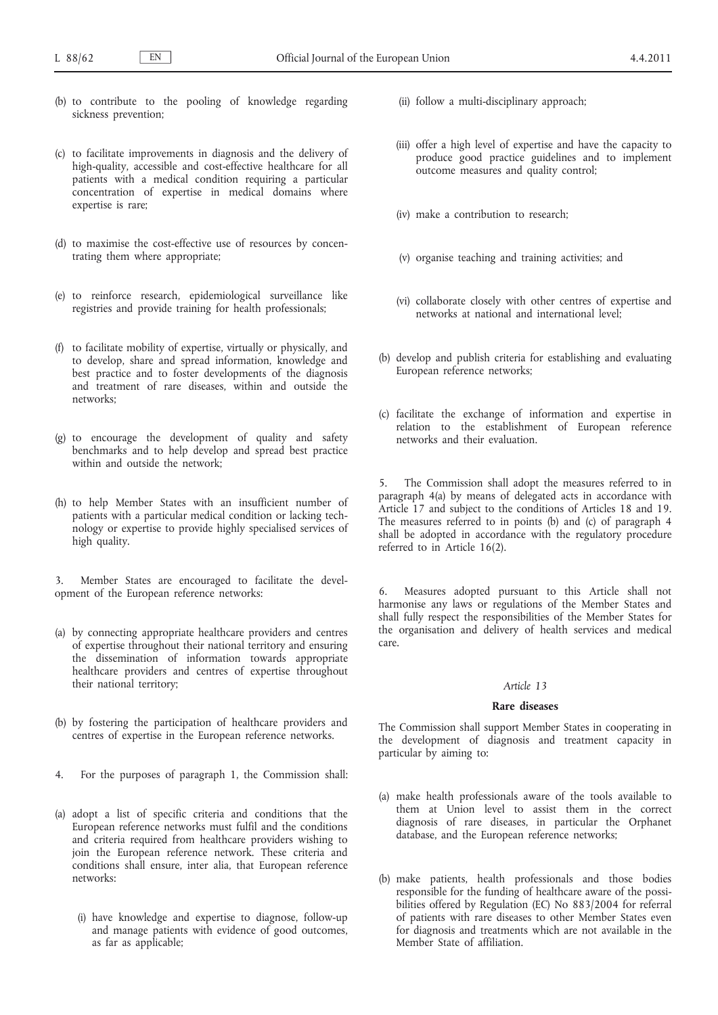- (b) to contribute to the pooling of knowledge regarding sickness prevention;
- (c) to facilitate improvements in diagnosis and the delivery of high-quality, accessible and cost-effective healthcare for all patients with a medical condition requiring a particular concentration of expertise in medical domains where expertise is rare;
- (d) to maximise the cost-effective use of resources by concentrating them where appropriate;
- (e) to reinforce research, epidemiological surveillance like registries and provide training for health professionals;
- (f) to facilitate mobility of expertise, virtually or physically, and to develop, share and spread information, knowledge and best practice and to foster developments of the diagnosis and treatment of rare diseases, within and outside the networks;
- (g) to encourage the development of quality and safety benchmarks and to help develop and spread best practice within and outside the network;
- (h) to help Member States with an insufficient number of patients with a particular medical condition or lacking technology or expertise to provide highly specialised services of high quality.

3. Member States are encouraged to facilitate the development of the European reference networks:

- (a) by connecting appropriate healthcare providers and centres of expertise throughout their national territory and ensuring the dissemination of information towards appropriate healthcare providers and centres of expertise throughout their national territory;
- (b) by fostering the participation of healthcare providers and centres of expertise in the European reference networks.
- 4. For the purposes of paragraph 1, the Commission shall:
- (a) adopt a list of specific criteria and conditions that the European reference networks must fulfil and the conditions and criteria required from healthcare providers wishing to join the European reference network. These criteria and conditions shall ensure, inter alia, that European reference networks:
	- (i) have knowledge and expertise to diagnose, follow-up and manage patients with evidence of good outcomes, as far as applicable;
- (ii) follow a multi-disciplinary approach;
- (iii) offer a high level of expertise and have the capacity to produce good practice guidelines and to implement outcome measures and quality control;
- (iv) make a contribution to research;
- (v) organise teaching and training activities; and
- (vi) collaborate closely with other centres of expertise and networks at national and international level;
- (b) develop and publish criteria for establishing and evaluating European reference networks;
- (c) facilitate the exchange of information and expertise in relation to the establishment of European reference networks and their evaluation.

The Commission shall adopt the measures referred to in paragraph 4(a) by means of delegated acts in accordance with Article 17 and subject to the conditions of Articles 18 and 19. The measures referred to in points (b) and (c) of paragraph 4 shall be adopted in accordance with the regulatory procedure referred to in Article 16(2).

6. Measures adopted pursuant to this Article shall not harmonise any laws or regulations of the Member States and shall fully respect the responsibilities of the Member States for the organisation and delivery of health services and medical care.

#### *Article 13*

#### **Rare diseases**

The Commission shall support Member States in cooperating in the development of diagnosis and treatment capacity in particular by aiming to:

- (a) make health professionals aware of the tools available to them at Union level to assist them in the correct diagnosis of rare diseases, in particular the Orphanet database, and the European reference networks;
- (b) make patients, health professionals and those bodies responsible for the funding of healthcare aware of the possibilities offered by Regulation (EC) No 883/2004 for referral of patients with rare diseases to other Member States even for diagnosis and treatments which are not available in the Member State of affiliation.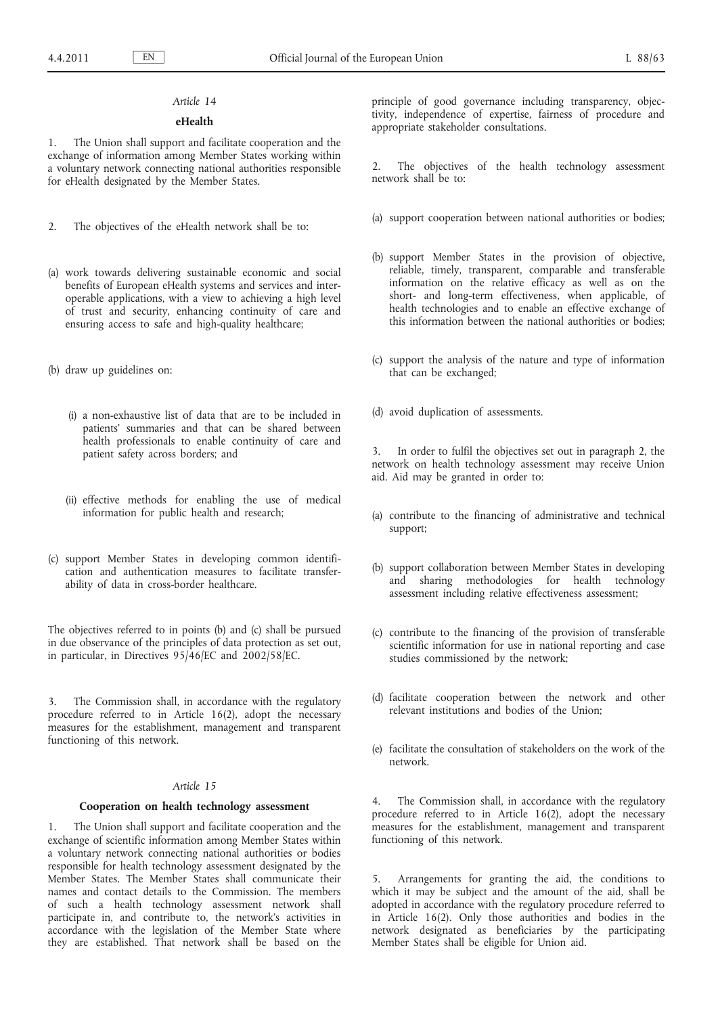# *Article 14*

#### **eHealth**

1. The Union shall support and facilitate cooperation and the exchange of information among Member States working within a voluntary network connecting national authorities responsible for eHealth designated by the Member States.

- 2. The objectives of the eHealth network shall be to:
- (a) work towards delivering sustainable economic and social benefits of European eHealth systems and services and interoperable applications, with a view to achieving a high level of trust and security, enhancing continuity of care and ensuring access to safe and high-quality healthcare;
- (b) draw up guidelines on:
	- (i) a non-exhaustive list of data that are to be included in patients' summaries and that can be shared between health professionals to enable continuity of care and patient safety across borders; and
	- (ii) effective methods for enabling the use of medical information for public health and research;
- (c) support Member States in developing common identification and authentication measures to facilitate transferability of data in cross-border healthcare.

The objectives referred to in points (b) and (c) shall be pursued in due observance of the principles of data protection as set out, in particular, in Directives 95/46/EC and 2002/58/EC.

3. The Commission shall, in accordance with the regulatory procedure referred to in Article 16(2), adopt the necessary measures for the establishment, management and transparent functioning of this network.

# *Article 15*

#### **Cooperation on health technology assessment**

1. The Union shall support and facilitate cooperation and the exchange of scientific information among Member States within a voluntary network connecting national authorities or bodies responsible for health technology assessment designated by the Member States. The Member States shall communicate their names and contact details to the Commission. The members of such a health technology assessment network shall participate in, and contribute to, the network's activities in accordance with the legislation of the Member State where they are established. That network shall be based on the principle of good governance including transparency, objectivity, independence of expertise, fairness of procedure and appropriate stakeholder consultations.

2. The objectives of the health technology assessment network shall be to:

- (a) support cooperation between national authorities or bodies;
- (b) support Member States in the provision of objective, reliable, timely, transparent, comparable and transferable information on the relative efficacy as well as on the short- and long-term effectiveness, when applicable, of health technologies and to enable an effective exchange of this information between the national authorities or bodies;
- (c) support the analysis of the nature and type of information that can be exchanged;
- (d) avoid duplication of assessments.

3. In order to fulfil the objectives set out in paragraph 2, the network on health technology assessment may receive Union aid. Aid may be granted in order to:

- (a) contribute to the financing of administrative and technical support;
- (b) support collaboration between Member States in developing and sharing methodologies for health technology assessment including relative effectiveness assessment;
- (c) contribute to the financing of the provision of transferable scientific information for use in national reporting and case studies commissioned by the network;
- (d) facilitate cooperation between the network and other relevant institutions and bodies of the Union;
- (e) facilitate the consultation of stakeholders on the work of the network.

4. The Commission shall, in accordance with the regulatory procedure referred to in Article 16(2), adopt the necessary measures for the establishment, management and transparent functioning of this network.

5. Arrangements for granting the aid, the conditions to which it may be subject and the amount of the aid, shall be adopted in accordance with the regulatory procedure referred to in Article 16(2). Only those authorities and bodies in the network designated as beneficiaries by the participating Member States shall be eligible for Union aid.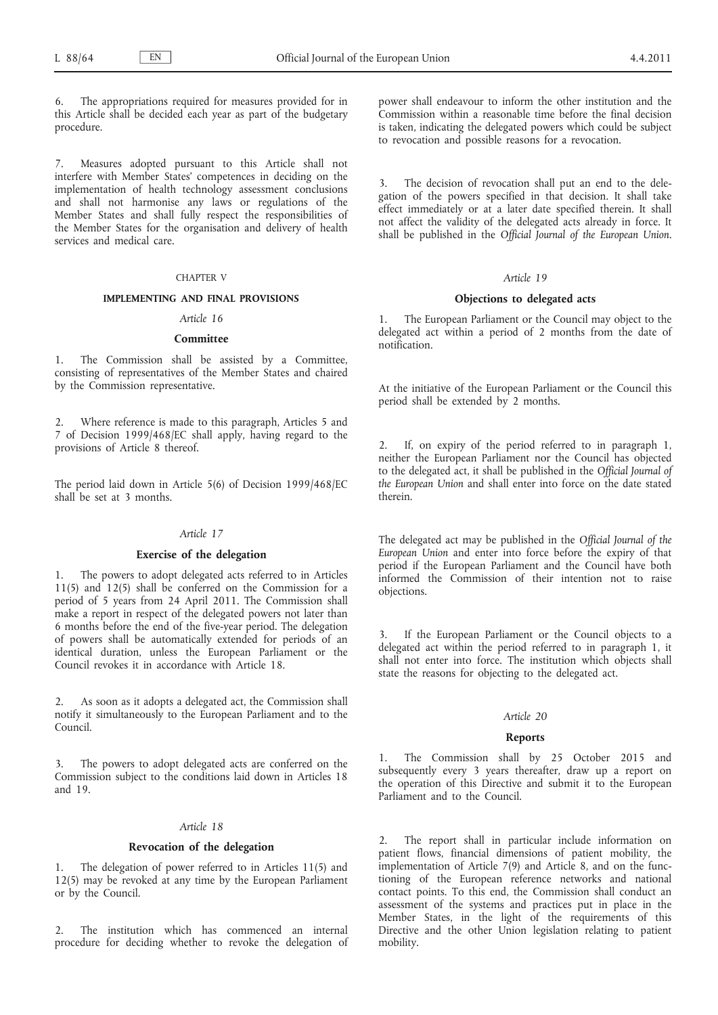6. The appropriations required for measures provided for in this Article shall be decided each year as part of the budgetary procedure.

7. Measures adopted pursuant to this Article shall not interfere with Member States' competences in deciding on the implementation of health technology assessment conclusions and shall not harmonise any laws or regulations of the Member States and shall fully respect the responsibilities of the Member States for the organisation and delivery of health services and medical care.

# CHAPTER V

# **IMPLEMENTING AND FINAL PROVISIONS**

# *Article 16*

#### **Committee**

1. The Commission shall be assisted by a Committee, consisting of representatives of the Member States and chaired by the Commission representative.

2. Where reference is made to this paragraph, Articles 5 and 7 of Decision 1999/468/EC shall apply, having regard to the provisions of Article 8 thereof.

The period laid down in Article 5(6) of Decision 1999/468/EC shall be set at 3 months.

# *Article 17*

#### **Exercise of the delegation**

1. The powers to adopt delegated acts referred to in Articles 11(5) and 12(5) shall be conferred on the Commission for a period of 5 years from 24 April 2011. The Commission shall make a report in respect of the delegated powers not later than 6 months before the end of the five-year period. The delegation of powers shall be automatically extended for periods of an identical duration, unless the European Parliament or the Council revokes it in accordance with Article 18.

2. As soon as it adopts a delegated act, the Commission shall notify it simultaneously to the European Parliament and to the Council.

3. The powers to adopt delegated acts are conferred on the Commission subject to the conditions laid down in Articles 18 and 19.

# *Article 18*

#### **Revocation of the delegation**

1. The delegation of power referred to in Articles 11(5) and 12(5) may be revoked at any time by the European Parliament or by the Council.

2. The institution which has commenced an internal procedure for deciding whether to revoke the delegation of power shall endeavour to inform the other institution and the Commission within a reasonable time before the final decision is taken, indicating the delegated powers which could be subject to revocation and possible reasons for a revocation.

3. The decision of revocation shall put an end to the delegation of the powers specified in that decision. It shall take effect immediately or at a later date specified therein. It shall not affect the validity of the delegated acts already in force. It shall be published in the *Official Journal of the European Union*.

# *Article 19*

# **Objections to delegated acts**

1. The European Parliament or the Council may object to the delegated act within a period of 2 months from the date of notification.

At the initiative of the European Parliament or the Council this period shall be extended by 2 months.

If, on expiry of the period referred to in paragraph 1, neither the European Parliament nor the Council has objected to the delegated act, it shall be published in the *Official Journal of the European Union* and shall enter into force on the date stated therein.

The delegated act may be published in the *Official Journal of the European Union* and enter into force before the expiry of that period if the European Parliament and the Council have both informed the Commission of their intention not to raise objections.

If the European Parliament or the Council objects to a delegated act within the period referred to in paragraph 1, it shall not enter into force. The institution which objects shall state the reasons for objecting to the delegated act.

#### *Article 20*

### **Reports**

1. The Commission shall by 25 October 2015 and subsequently every 3 years thereafter, draw up a report on the operation of this Directive and submit it to the European Parliament and to the Council.

2. The report shall in particular include information on patient flows, financial dimensions of patient mobility, the implementation of Article 7(9) and Article 8, and on the functioning of the European reference networks and national contact points. To this end, the Commission shall conduct an assessment of the systems and practices put in place in the Member States, in the light of the requirements of this Directive and the other Union legislation relating to patient mobility.